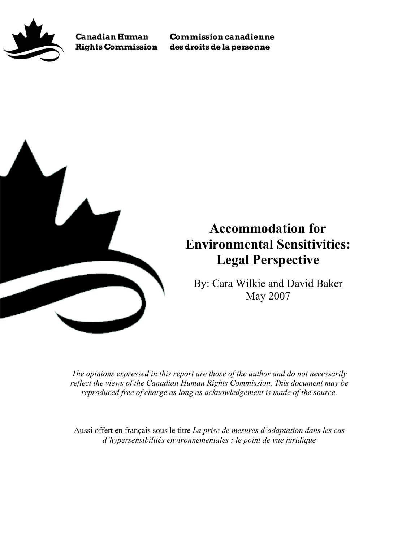

**Canadian Human Rights Commission** 

**Commission canadienne** des droits de la personne



# **Accommodation for Environmental Sensitivities: Legal Perspective**

By: Cara Wilkie and David Baker May 2007

*The opinions expressed in this report are those of the author and do not necessarily reflect the views of the Canadian Human Rights Commission. This document may be reproduced free of charge as long as acknowledgement is made of the source.* 

Aussi offert en français sous le titre *La prise de mesures d'adaptation dans les cas d'hypersensibilités environnementales : le point de vue juridique*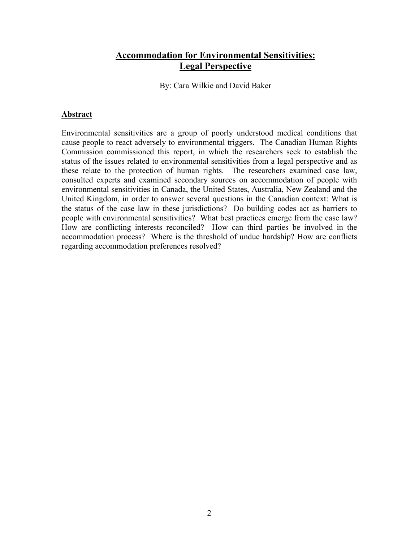# **Accommodation for Environmental Sensitivities: Legal Perspective**

By: Cara Wilkie and David Baker

#### **Abstract**

Environmental sensitivities are a group of poorly understood medical conditions that cause people to react adversely to environmental triggers. The Canadian Human Rights Commission commissioned this report, in which the researchers seek to establish the status of the issues related to environmental sensitivities from a legal perspective and as these relate to the protection of human rights. The researchers examined case law, consulted experts and examined secondary sources on accommodation of people with environmental sensitivities in Canada, the United States, Australia, New Zealand and the United Kingdom, in order to answer several questions in the Canadian context: What is the status of the case law in these jurisdictions? Do building codes act as barriers to people with environmental sensitivities? What best practices emerge from the case law? How are conflicting interests reconciled? How can third parties be involved in the accommodation process? Where is the threshold of undue hardship? How are conflicts regarding accommodation preferences resolved?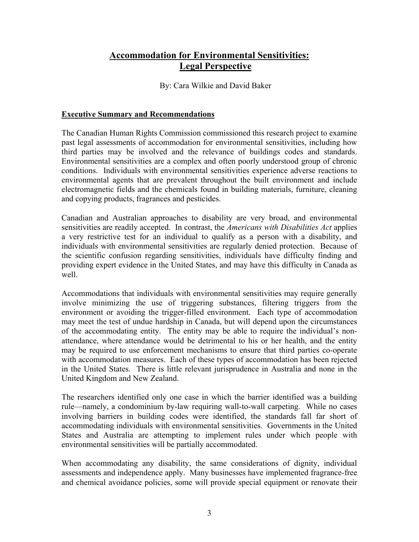# **Accommodation for Environmental Sensitivities: Legal Perspective**

By: Cara Wilkie and David Baker

#### **Executive Summary and Recommendations**

The Canadian Human Rights Commission commissioned this research project to examine past legal assessments of accommodation for environmental sensitivities, including how third parties may be involved and the relevance of buildings codes and standards. Environmental sensitivities are a complex and often poorly understood group of chronic conditions. Individuals with environmental sensitivities experience adverse reactions to environmental agents that are prevalent throughout the built environment and include electromagnetic fields and the chemicals found in building materials, furniture, cleaning and copying products, fragrances and pesticides.

Canadian and Australian approaches to disability are very broad, and environmental sensitivities are readily accepted. In contrast, the *Americans with Disabilities Act* applies a very restrictive test for an individual to qualify as a person with a disability, and individuals with environmental sensitivities are regularly denied protection. Because of the scientific confusion regarding sensitivities, individuals have difficulty finding and providing expert evidence in the United States, and may have this difficulty in Canada as well.

Accommodations that individuals with environmental sensitivities may require generally involve minimizing the use of triggering substances, filtering triggers from the environment or avoiding the trigger-filled environment. Each type of accommodation may meet the test of undue hardship in Canada, but will depend upon the circumstances of the accommodating entity. The entity may be able to require the individual's nonattendance, where attendance would be detrimental to his or her health, and the entity may be required to use enforcement mechanisms to ensure that third parties co-operate with accommodation measures. Each of these types of accommodation has been rejected in the United States. There is little relevant jurisprudence in Australia and none in the United Kingdom and New Zealand.

The researchers identified only one case in which the barrier identified was a building rule—namely, a condominium by-law requiring wall-to-wall carpeting. While no cases involving barriers in building codes were identified, the standards fall far short of accommodating individuals with environmental sensitivities. Governments in the United States and Australia are attempting to implement rules under which people with environmental sensitivities will be partially accommodated.

When accommodating any disability, the same considerations of dignity, individual assessments and independence apply. Many businesses have implemented fragrance-free and chemical avoidance policies, some will provide special equipment or renovate their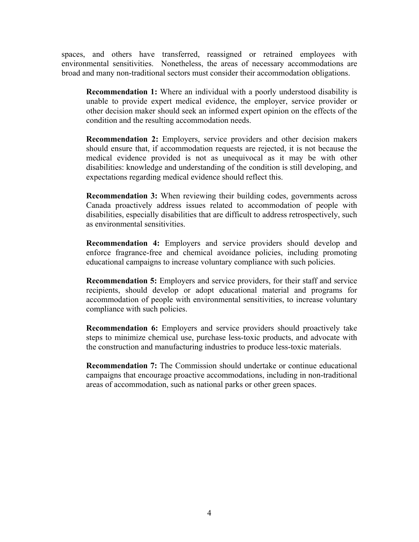spaces, and others have transferred, reassigned or retrained employees with environmental sensitivities. Nonetheless, the areas of necessary accommodations are broad and many non-traditional sectors must consider their accommodation obligations.

**Recommendation 1:** Where an individual with a poorly understood disability is unable to provide expert medical evidence, the employer, service provider or other decision maker should seek an informed expert opinion on the effects of the condition and the resulting accommodation needs.

**Recommendation 2:** Employers, service providers and other decision makers should ensure that, if accommodation requests are rejected, it is not because the medical evidence provided is not as unequivocal as it may be with other disabilities: knowledge and understanding of the condition is still developing, and expectations regarding medical evidence should reflect this.

**Recommendation 3:** When reviewing their building codes, governments across Canada proactively address issues related to accommodation of people with disabilities, especially disabilities that are difficult to address retrospectively, such as environmental sensitivities.

**Recommendation 4:** Employers and service providers should develop and enforce fragrance-free and chemical avoidance policies, including promoting educational campaigns to increase voluntary compliance with such policies.

**Recommendation 5:** Employers and service providers, for their staff and service recipients, should develop or adopt educational material and programs for accommodation of people with environmental sensitivities, to increase voluntary compliance with such policies.

**Recommendation 6:** Employers and service providers should proactively take steps to minimize chemical use, purchase less-toxic products, and advocate with the construction and manufacturing industries to produce less-toxic materials.

**Recommendation 7:** The Commission should undertake or continue educational campaigns that encourage proactive accommodations, including in non-traditional areas of accommodation, such as national parks or other green spaces.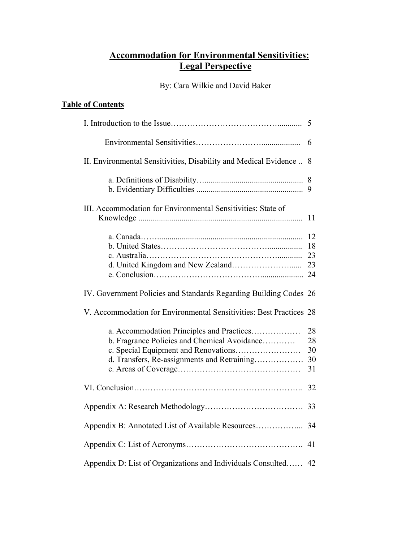# **Accommodation for Environmental Sensitivities: Legal Perspective**

By: Cara Wilkie and David Baker

# **Table of Contents**

|                                                                                                                                                                                  | 5                          |  |
|----------------------------------------------------------------------------------------------------------------------------------------------------------------------------------|----------------------------|--|
|                                                                                                                                                                                  | 6                          |  |
| II. Environmental Sensitivities, Disability and Medical Evidence                                                                                                                 | 8                          |  |
|                                                                                                                                                                                  | 8<br>9                     |  |
| III. Accommodation for Environmental Sensitivities: State of                                                                                                                     | 11                         |  |
|                                                                                                                                                                                  | 12<br>18<br>23<br>23       |  |
| IV. Government Policies and Standards Regarding Building Codes 26                                                                                                                |                            |  |
| V. Accommodation for Environmental Sensitivities: Best Practices 28                                                                                                              |                            |  |
| a. Accommodation Principles and Practices<br>b. Fragrance Policies and Chemical Avoidance<br>c. Special Equipment and Renovations<br>d. Transfers, Re-assignments and Retraining | 28<br>28<br>30<br>30<br>31 |  |
|                                                                                                                                                                                  | 32                         |  |
|                                                                                                                                                                                  | 33                         |  |
| Appendix B: Annotated List of Available Resources                                                                                                                                | 34                         |  |
|                                                                                                                                                                                  |                            |  |
| Appendix D: List of Organizations and Individuals Consulted<br>42                                                                                                                |                            |  |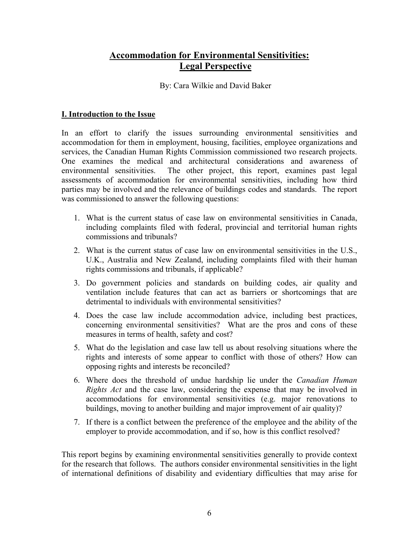# <span id="page-5-0"></span>**Accommodation for Environmental Sensitivities: Legal Perspective**

By: Cara Wilkie and David Baker

## **I. Introduction to the Issue**

In an effort to clarify the issues surrounding environmental sensitivities and accommodation for them in employment, housing, facilities, employee organizations and services, the Canadian Human Rights Commission commissioned two research projects. One examines the medical and architectural considerations and awareness of environmental sensitivities. The other project, this report, examines past legal assessments of accommodation for environmental sensitivities, including how third parties may be involved and the relevance of buildings codes and standards. The report was commissioned to answer the following questions:

- 1. What is the current status of case law on environmental sensitivities in Canada, including complaints filed with federal, provincial and territorial human rights commissions and tribunals?
- 2. What is the current status of case law on environmental sensitivities in the U.S., U.K., Australia and New Zealand, including complaints filed with their human rights commissions and tribunals, if applicable?
- 3. Do government policies and standards on building codes, air quality and ventilation include features that can act as barriers or shortcomings that are detrimental to individuals with environmental sensitivities?
- 4. Does the case law include accommodation advice, including best practices, concerning environmental sensitivities? What are the pros and cons of these measures in terms of health, safety and cost?
- 5. What do the legislation and case law tell us about resolving situations where the rights and interests of some appear to conflict with those of others? How can opposing rights and interests be reconciled?
- 6. Where does the threshold of undue hardship lie under the *Canadian Human Rights Act* and the case law, considering the expense that may be involved in accommodations for environmental sensitivities (e.g. major renovations to buildings, moving to another building and major improvement of air quality)?
- 7. If there is a conflict between the preference of the employee and the ability of the employer to provide accommodation, and if so, how is this conflict resolved?

This report begins by examining environmental sensitivities generally to provide context for the research that follows. The authors consider environmental sensitivities in the light of international definitions of disability and evidentiary difficulties that may arise for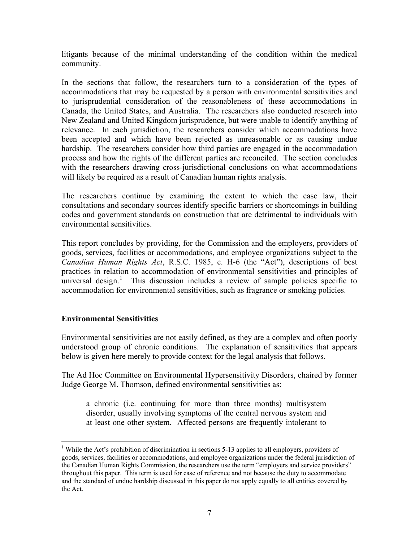<span id="page-6-0"></span>litigants because of the minimal understanding of the condition within the medical community.

In the sections that follow, the researchers turn to a consideration of the types of accommodations that may be requested by a person with environmental sensitivities and to jurisprudential consideration of the reasonableness of these accommodations in Canada, the United States, and Australia. The researchers also conducted research into New Zealand and United Kingdom jurisprudence, but were unable to identify anything of relevance. In each jurisdiction, the researchers consider which accommodations have been accepted and which have been rejected as unreasonable or as causing undue hardship. The researchers consider how third parties are engaged in the accommodation process and how the rights of the different parties are reconciled. The section concludes with the researchers drawing cross-jurisdictional conclusions on what accommodations will likely be required as a result of Canadian human rights analysis.

The researchers continue by examining the extent to which the case law, their consultations and secondary sources identify specific barriers or shortcomings in building codes and government standards on construction that are detrimental to individuals with environmental sensitivities.

This report concludes by providing, for the Commission and the employers, providers of goods, services, facilities or accommodations, and employee organizations subject to the *Canadian Human Rights Act*, R.S.C. 1985, c. H-6 (the "Act"), descriptions of best practices in relation to accommodation of environmental sensitivities and principles of universal design.<sup>1</sup> This discussion includes a review of sample policies specific to accommodation for environmental sensitivities, such as fragrance or smoking policies.

# **Environmental Sensitivities**

Environmental sensitivities are not easily defined, as they are a complex and often poorly understood group of chronic conditions. The explanation of sensitivities that appears below is given here merely to provide context for the legal analysis that follows.

The Ad Hoc Committee on Environmental Hypersensitivity Disorders, chaired by former Judge George M. Thomson, defined environmental sensitivities as:

a chronic (i.e. continuing for more than three months) multisystem disorder, usually involving symptoms of the central nervous system and at least one other system. Affected persons are frequently intolerant to

<sup>&</sup>lt;sup>1</sup> While the Act's prohibition of discrimination in sections 5-13 applies to all employers, providers of goods, services, facilities or accommodations, and employee organizations under the federal jurisdiction of the Canadian Human Rights Commission, the researchers use the term "employers and service providers" throughout this paper. This term is used for ease of reference and not because the duty to accommodate and the standard of undue hardship discussed in this paper do not apply equally to all entities covered by the Act.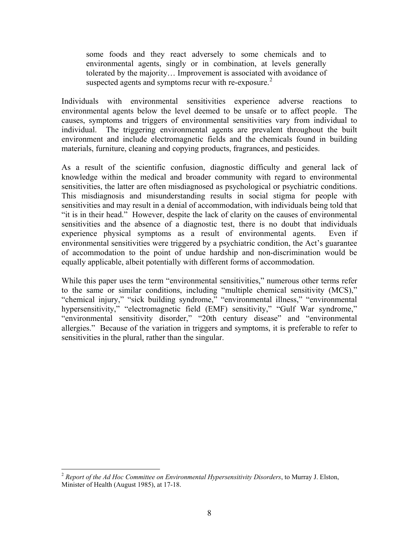some foods and they react adversely to some chemicals and to environmental agents, singly or in combination, at levels generally tolerated by the majority… Improvement is associated with avoidance of suspected agents and symptoms recur with re-exposure. $2$ 

Individuals with environmental sensitivities experience adverse reactions to environmental agents below the level deemed to be unsafe or to affect people. The causes, symptoms and triggers of environmental sensitivities vary from individual to individual. The triggering environmental agents are prevalent throughout the built environment and include electromagnetic fields and the chemicals found in building materials, furniture, cleaning and copying products, fragrances, and pesticides.

As a result of the scientific confusion, diagnostic difficulty and general lack of knowledge within the medical and broader community with regard to environmental sensitivities, the latter are often misdiagnosed as psychological or psychiatric conditions. This misdiagnosis and misunderstanding results in social stigma for people with sensitivities and may result in a denial of accommodation, with individuals being told that "it is in their head." However, despite the lack of clarity on the causes of environmental sensitivities and the absence of a diagnostic test, there is no doubt that individuals experience physical symptoms as a result of environmental agents. Even if environmental sensitivities were triggered by a psychiatric condition, the Act's guarantee of accommodation to the point of undue hardship and non-discrimination would be equally applicable, albeit potentially with different forms of accommodation.

While this paper uses the term "environmental sensitivities," numerous other terms refer to the same or similar conditions, including "multiple chemical sensitivity (MCS)," "chemical injury," "sick building syndrome," "environmental illness," "environmental hypersensitivity," "electromagnetic field (EMF) sensitivity," "Gulf War syndrome," "environmental sensitivity disorder," "20th century disease" and "environmental allergies." Because of the variation in triggers and symptoms, it is preferable to refer to sensitivities in the plural, rather than the singular.

<sup>2</sup> *Report of the Ad Hoc Committee on Environmental Hypersensitivity Disorders*, to Murray J. Elston, Minister of Health (August 1985), at 17-18.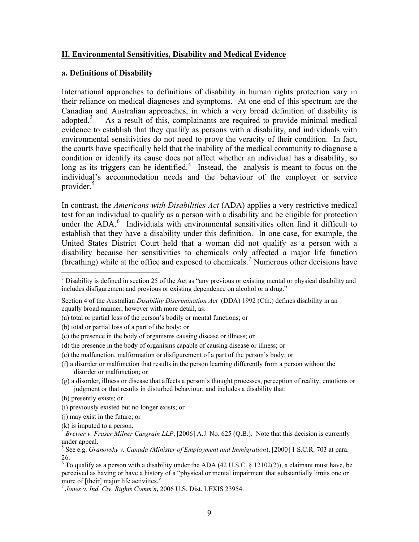#### <span id="page-8-0"></span>**II. Environmental Sensitivities, Disability and Medical Evidence**

#### **a. Definitions of Disability**

International approaches to definitions of disability in human rights protection vary in their reliance on medical diagnoses and symptoms. At one end of this spectrum are the Canadian and Australian approaches, in which a very broad definition of disability is adopted.<sup>3</sup> As a result of this, complainants are required to provide minimal medical evidence to establish that they qualify as persons with a disability, and individuals with environmental sensitivities do not need to prove the veracity of their condition. In fact, the courts have specifically held that the inability of the medical community to diagnose a condition or identify its cause does not affect whether an individual has a disability, so long as its triggers can be identified.<sup>4</sup> Instead, the analysis is meant to focus on the individual's accommodation needs and the behaviour of the employer or service provider.<sup>5</sup>

In contrast, the *Americans with Disabilities Act* (ADA) applies a very restrictive medical test for an individual to qualify as a person with a disability and be eligible for protection under the ADA.<sup>6</sup> Individuals with environmental sensitivities often find it difficult to establish that they have a disability under this definition. In one case, for example, the United States District Court held that a woman did not qualify as a person with a disability because her sensitivities to chemicals only affected a major life function (breathing) while at the office and exposed to chemicals.<sup>7</sup> Numerous other decisions have

<sup>&</sup>lt;sup>3</sup> Disability is defined in section 25 of the Act as "any previous or existing mental or physical disability and includes disfigurement and previous or existing dependence on alcohol or a drug."

Section 4 of the Australian *Disability Discrimination Act* (DDA) 1992 (Cth.) defines disability in an equally broad manner, however with more detail, as:

<sup>(</sup>a) total or partial loss of the person's bodily or mental functions; or

<sup>(</sup>b) total or partial loss of a part of the body; or

<sup>(</sup>c) the presence in the body of organisms causing disease or illness; or

<sup>(</sup>d) the presence in the body of organisms capable of causing disease or illness; or

<sup>(</sup>e) the malfunction, malformation or disfigurement of a part of the person's body; or

<sup>(</sup>f) a disorder or malfunction that results in the person learning differently from a person without the disorder or malfunction; or

<sup>(</sup>g) a disorder, illness or disease that affects a person's thought processes, perception of reality, emotions or judgment or that results in disturbed behaviour; and includes a disability that:

<sup>(</sup>h) presently exists; or

<sup>(</sup>i) previously existed but no longer exists; or

<sup>(</sup>j) may exist in the future; or

<sup>(</sup>k) is imputed to a person.<br><sup>4</sup> *Brewer v. Fraser Milner Casgrain LLP*, [2006] A.J. No. 625 (Q.B.). Note that this decision is currently under appeal.

<sup>5</sup> See e.g. *Granovsky v. Canada (Minister of Employment and Immigration*), [2000] 1 S.C.R. 703 at para. 26.

<sup>&</sup>lt;sup>6</sup> To qualify as a person with a disability under the ADA (42 U.S.C. § 12102(2)), a claimant must have, be perceived as having or have a history of a "physical or mental impairment that substantially limits one or more of [their] major life activities."

<sup>7</sup> *Jones v. Ind. Civ. Rights Comm'n***,** 2006 U.S. Dist. LEXIS 23954.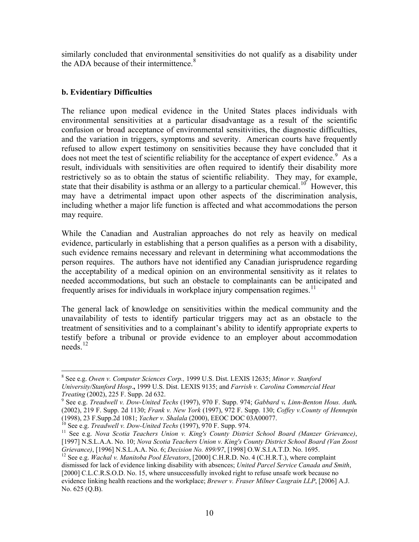<span id="page-9-0"></span>similarly concluded that environmental sensitivities do not qualify as a disability under the ADA because of their intermittence. $8<sup>8</sup>$ 

# **b. Evidentiary Difficulties**

The reliance upon medical evidence in the United States places individuals with environmental sensitivities at a particular disadvantage as a result of the scientific confusion or broad acceptance of environmental sensitivities, the diagnostic difficulties, and the variation in triggers, symptoms and severity. American courts have frequently refused to allow expert testimony on sensitivities because they have concluded that it does not meet the test of scientific reliability for the acceptance of expert evidence.<sup>9</sup> As a result, individuals with sensitivities are often required to identify their disability more restrictively so as to obtain the status of scientific reliability. They may, for example, state that their disability is asthma or an allergy to a particular chemical.<sup>10</sup> However, this may have a detrimental impact upon other aspects of the discrimination analysis, including whether a major life function is affected and what accommodations the person may require.

While the Canadian and Australian approaches do not rely as heavily on medical evidence, particularly in establishing that a person qualifies as a person with a disability, such evidence remains necessary and relevant in determining what accommodations the person requires. The authors have not identified any Canadian jurisprudence regarding the acceptability of a medical opinion on an environmental sensitivity as it relates to needed accommodations, but such an obstacle to complainants can be anticipated and frequently arises for individuals in workplace injury compensation regimes.<sup>11</sup>

The general lack of knowledge on sensitivities within the medical community and the unavailability of tests to identify particular triggers may act as an obstacle to the treatment of sensitivities and to a complainant's ability to identify appropriate experts to testify before a tribunal or provide evidence to an employer about accommodation needs. $^{12}$ 

<sup>8</sup> See e.g. *Owen v. Computer Sciences Corp.,* 1999 U.S. Dist. LEXIS 12635; *Minor v. Stanford University/Stanford Hosp*.**,** 1999 U.S. Dist. LEXIS 9135; and *Farrish v. Carolina Commercial Heat Treating* (2002), 225 F. Supp. 2d 632. 9 See e.g. *Treadwell v. Dow-United Techs* (1997), 970 F. Supp. 974; *Gabbard v. Linn-Benton Hous. Auth.*

<sup>(2002),</sup> 219 F. Supp. 2d 1130; *Frank v. New York* (1997), 972 F. Supp. 130; *Coffey v.County of Hennepin* (1998), 23 F.Supp.2d 1081; *Yacher v. Shalala* (2000), EEOC DOC 03A00077.<br><sup>10</sup> See e.g. *Treadwell v. Dow-United Techs* (1997), 970 F. Supp. 974.<br><sup>11</sup> See e.g. *Nova Scotia Teachers Union v. King's County District School* 

<sup>[1997]</sup> N.S.L.A.A. No. 10; *Nova Scotia Teachers Union v. King's County District School Board (Van Zoost* 

<sup>&</sup>lt;sup>12</sup> See e.g. *Wachal v. Manitoba Pool Elevators*, [2000] C.H.R.D. No. 4 (C.H.R.T.), where complaint dismissed for lack of evidence linking disability with absences; *United Parcel Service Canada and Smith*, [2000] C.L.C.R.S.O.D. No. 15, where unsuccessfully invoked right to refuse unsafe work because no evidence linking health reactions and the workplace; *Brewer v. Fraser Milner Casgrain LLP*, [2006] A.J. No. 625 (Q.B).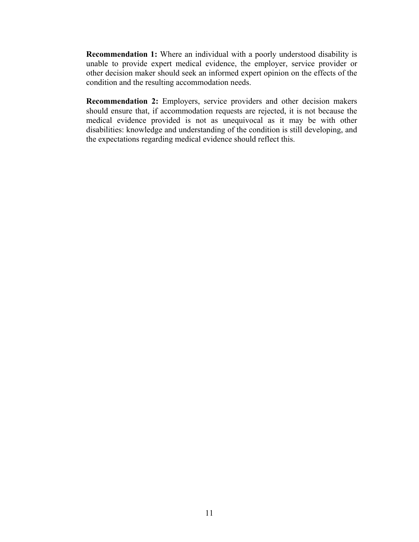**Recommendation 1:** Where an individual with a poorly understood disability is unable to provide expert medical evidence, the employer, service provider or other decision maker should seek an informed expert opinion on the effects of the condition and the resulting accommodation needs.

**Recommendation 2:** Employers, service providers and other decision makers should ensure that, if accommodation requests are rejected, it is not because the medical evidence provided is not as unequivocal as it may be with other disabilities: knowledge and understanding of the condition is still developing, and the expectations regarding medical evidence should reflect this.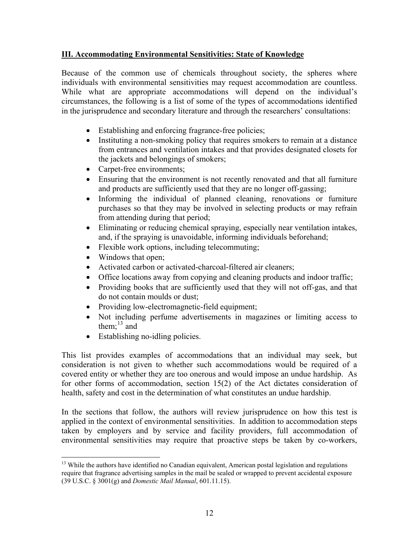# <span id="page-11-0"></span>**III. Accommodating Environmental Sensitivities: State of Knowledge**

Because of the common use of chemicals throughout society, the spheres where individuals with environmental sensitivities may request accommodation are countless. While what are appropriate accommodations will depend on the individual's circumstances, the following is a list of some of the types of accommodations identified in the jurisprudence and secondary literature and through the researchers' consultations:

- Establishing and enforcing fragrance-free policies;
- Instituting a non-smoking policy that requires smokers to remain at a distance from entrances and ventilation intakes and that provides designated closets for the jackets and belongings of smokers;
- Carpet-free environments;
- Ensuring that the environment is not recently renovated and that all furniture and products are sufficiently used that they are no longer off-gassing;
- Informing the individual of planned cleaning, renovations or furniture purchases so that they may be involved in selecting products or may refrain from attending during that period;
- Eliminating or reducing chemical spraying, especially near ventilation intakes, and, if the spraying is unavoidable, informing individuals beforehand;
- Flexible work options, including telecommuting;
- Windows that open;
- Activated carbon or activated-charcoal-filtered air cleaners;
- Office locations away from copying and cleaning products and indoor traffic;
- Providing books that are sufficiently used that they will not off-gas, and that do not contain moulds or dust;
- Providing low-electromagnetic-field equipment;
- Not including perfume advertisements in magazines or limiting access to them: $^{13}$  and
- Establishing no-idling policies.

This list provides examples of accommodations that an individual may seek, but consideration is not given to whether such accommodations would be required of a covered entity or whether they are too onerous and would impose an undue hardship. As for other forms of accommodation, section 15(2) of the Act dictates consideration of health, safety and cost in the determination of what constitutes an undue hardship.

In the sections that follow, the authors will review jurisprudence on how this test is applied in the context of environmental sensitivities. In addition to accommodation steps taken by employers and by service and facility providers, full accommodation of environmental sensitivities may require that proactive steps be taken by co-workers,

 $13$  While the authors have identified no Canadian equivalent, American postal legislation and regulations require that fragrance advertising samples in the mail be sealed or wrapped to prevent accidental exposure (39 U.S.C. § 3001(g) and *Domestic Mail Manual*, 601.11.15).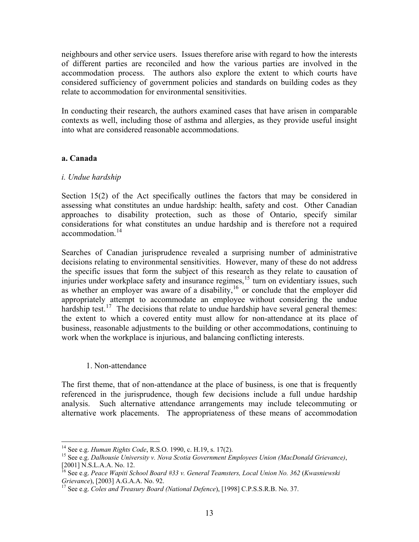<span id="page-12-0"></span>neighbours and other service users. Issues therefore arise with regard to how the interests of different parties are reconciled and how the various parties are involved in the accommodation process. The authors also explore the extent to which courts have considered sufficiency of government policies and standards on building codes as they relate to accommodation for environmental sensitivities.

In conducting their research, the authors examined cases that have arisen in comparable contexts as well, including those of asthma and allergies, as they provide useful insight into what are considered reasonable accommodations.

#### **a. Canada**

#### *i. Undue hardship*

Section 15(2) of the Act specifically outlines the factors that may be considered in assessing what constitutes an undue hardship: health, safety and cost. Other Canadian approaches to disability protection, such as those of Ontario, specify similar considerations for what constitutes an undue hardship and is therefore not a required accommodation<sup>14</sup>

Searches of Canadian jurisprudence revealed a surprising number of administrative decisions relating to environmental sensitivities. However, many of these do not address the specific issues that form the subject of this research as they relate to causation of injuries under workplace safety and insurance regimes,<sup>15</sup> turn on evidentiary issues, such as whether an employer was aware of a disability,<sup>16</sup> or conclude that the employer did appropriately attempt to accommodate an employee without considering the undue hardship test.<sup>17</sup> The decisions that relate to undue hardship have several general themes: the extent to which a covered entity must allow for non-attendance at its place of business, reasonable adjustments to the building or other accommodations, continuing to work when the workplace is injurious, and balancing conflicting interests.

#### 1. Non-attendance

The first theme, that of non-attendance at the place of business, is one that is frequently referenced in the jurisprudence, though few decisions include a full undue hardship analysis. Such alternative attendance arrangements may include telecommuting or alternative work placements. The appropriateness of these means of accommodation

<sup>&</sup>lt;sup>14</sup> See e.g. *Human Rights Code*, R.S.O. 1990, c. H.19, s. 17(2).<br><sup>15</sup> See e.g. *Dalhousie University v. Nova Scotia Government Employees Union (MacDonald Grievance)*, [2001] N.S.L.A.A. No. 12.

<sup>16</sup> See e.g. *Peace Wapiti School Board #33 v. General Teamsters, Local Union No. 362* (*Kwasniewski Grievance*), [2003] A.G.A.A. No. 92. 17 See e.g. *Coles and Treasury Board (National Defence*), [1998] C.P.S.S.R.B. No. 37.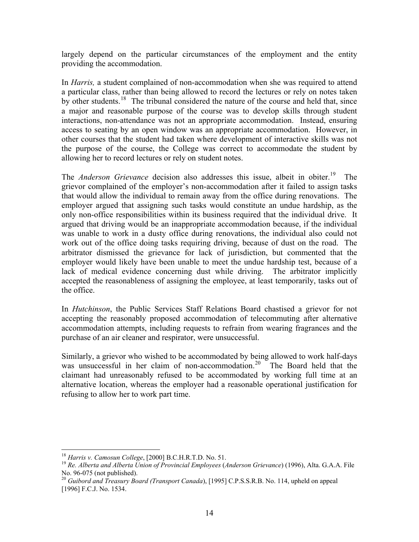largely depend on the particular circumstances of the employment and the entity providing the accommodation.

In *Harris,* a student complained of non-accommodation when she was required to attend a particular class, rather than being allowed to record the lectures or rely on notes taken by other students.<sup>18</sup> The tribunal considered the nature of the course and held that, since a major and reasonable purpose of the course was to develop skills through student interactions, non-attendance was not an appropriate accommodation. Instead, ensuring access to seating by an open window was an appropriate accommodation. However, in other courses that the student had taken where development of interactive skills was not the purpose of the course, the College was correct to accommodate the student by allowing her to record lectures or rely on student notes.

The *Anderson Grievance* decision also addresses this issue, albeit in obiter.<sup>19</sup> The grievor complained of the employer's non-accommodation after it failed to assign tasks that would allow the individual to remain away from the office during renovations. The employer argued that assigning such tasks would constitute an undue hardship, as the only non-office responsibilities within its business required that the individual drive. It argued that driving would be an inappropriate accommodation because, if the individual was unable to work in a dusty office during renovations, the individual also could not work out of the office doing tasks requiring driving, because of dust on the road. The arbitrator dismissed the grievance for lack of jurisdiction, but commented that the employer would likely have been unable to meet the undue hardship test, because of a lack of medical evidence concerning dust while driving. The arbitrator implicitly accepted the reasonableness of assigning the employee, at least temporarily, tasks out of the office.

In *Hutchinson*, the Public Services Staff Relations Board chastised a grievor for not accepting the reasonably proposed accommodation of telecommuting after alternative accommodation attempts, including requests to refrain from wearing fragrances and the purchase of an air cleaner and respirator, were unsuccessful.

Similarly, a grievor who wished to be accommodated by being allowed to work half-days was unsuccessful in her claim of non-accommodation.<sup>20</sup> The Board held that the claimant had unreasonably refused to be accommodated by working full time at an alternative location, whereas the employer had a reasonable operational justification for refusing to allow her to work part time.

<sup>&</sup>lt;sup>18</sup> *Harris v. Camosun College*, [2000] B.C.H.R.T.D. No. 51.<br><sup>19</sup> *Re. Alberta and Alberta Union of Provincial Employees (Anderson Grievance*) (1996), Alta. G.A.A. File No. 96-075 (not published).

<sup>20</sup> *Guibord and Treasury Board (Transport Canada*), [1995] C.P.S.S.R.B. No. 114, upheld on appeal [1996] F.C.J. No. 1534.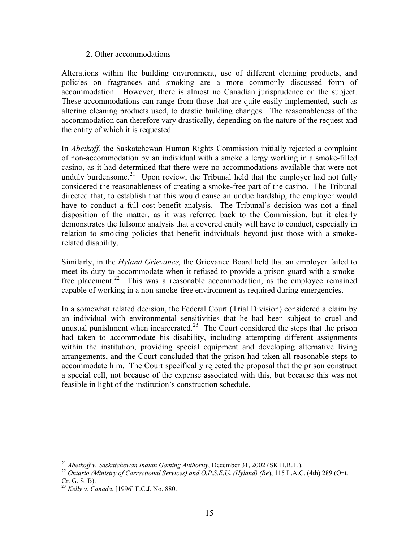#### 2. Other accommodations

Alterations within the building environment, use of different cleaning products, and policies on fragrances and smoking are a more commonly discussed form of accommodation. However, there is almost no Canadian jurisprudence on the subject. These accommodations can range from those that are quite easily implemented, such as altering cleaning products used, to drastic building changes. The reasonableness of the accommodation can therefore vary drastically, depending on the nature of the request and the entity of which it is requested.

In *Abetkoff,* the Saskatchewan Human Rights Commission initially rejected a complaint of non-accommodation by an individual with a smoke allergy working in a smoke-filled casino, as it had determined that there were no accommodations available that were not unduly burdensome.<sup>21</sup> Upon review, the Tribunal held that the employer had not fully considered the reasonableness of creating a smoke-free part of the casino. The Tribunal directed that, to establish that this would cause an undue hardship, the employer would have to conduct a full cost-benefit analysis. The Tribunal's decision was not a final disposition of the matter, as it was referred back to the Commission, but it clearly demonstrates the fulsome analysis that a covered entity will have to conduct, especially in relation to smoking policies that benefit individuals beyond just those with a smokerelated disability.

Similarly, in the *Hyland Grievance,* the Grievance Board held that an employer failed to meet its duty to accommodate when it refused to provide a prison guard with a smokefree placement.<sup>22</sup> This was a reasonable accommodation, as the employee remained capable of working in a non-smoke-free environment as required during emergencies.

In a somewhat related decision, the Federal Court (Trial Division) considered a claim by an individual with environmental sensitivities that he had been subject to cruel and unusual punishment when incarcerated.<sup>23</sup> The Court considered the steps that the prison had taken to accommodate his disability, including attempting different assignments within the institution, providing special equipment and developing alternative living arrangements, and the Court concluded that the prison had taken all reasonable steps to accommodate him. The Court specifically rejected the proposal that the prison construct a special cell, not because of the expense associated with this, but because this was not feasible in light of the institution's construction schedule.

<sup>&</sup>lt;sup>21</sup> *Abetkoff v. Saskatchewan Indian Gaming Authority*, December 31, 2002 (SK H.R.T.).<br><sup>22</sup> *Ontario (Ministry of Correctional Services) and O.P.S.E.U. (Hyland) (Re)*, 115 L.A.C. (4th) 289 (Ont. Cr. G. S. B).

<sup>23</sup> *Kelly v. Canada*, [1996] F.C.J. No. 880.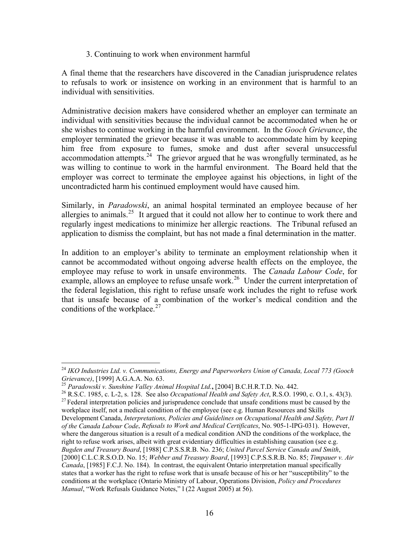#### 3. Continuing to work when environment harmful

A final theme that the researchers have discovered in the Canadian jurisprudence relates to refusals to work or insistence on working in an environment that is harmful to an individual with sensitivities.

Administrative decision makers have considered whether an employer can terminate an individual with sensitivities because the individual cannot be accommodated when he or she wishes to continue working in the harmful environment. In the *Gooch Grievance*, the employer terminated the grievor because it was unable to accommodate him by keeping him free from exposure to fumes, smoke and dust after several unsuccessful accommodation attempts.<sup>24</sup> The grievor argued that he was wrongfully terminated, as he was willing to continue to work in the harmful environment. The Board held that the employer was correct to terminate the employee against his objections, in light of the uncontradicted harm his continued employment would have caused him.

Similarly, in *Paradowski*, an animal hospital terminated an employee because of her allergies to animals.25 It argued that it could not allow her to continue to work there and regularly ingest medications to minimize her allergic reactions. The Tribunal refused an application to dismiss the complaint, but has not made a final determination in the matter.

In addition to an employer's ability to terminate an employment relationship when it cannot be accommodated without ongoing adverse health effects on the employee, the employee may refuse to work in unsafe environments. The *Canada Labour Code*, for example, allows an employee to refuse unsafe work.<sup>26</sup> Under the current interpretation of the federal legislation, this right to refuse unsafe work includes the right to refuse work that is unsafe because of a combination of the worker's medical condition and the conditions of the workplace. $27$ 

<sup>&</sup>lt;sup>24</sup> *IKO Industries Ltd. v. Communications, Energy and Paperworkers Union of Canada, Local 773 (Gooch Grievance),* [1999] A.G.A.A. No. 63.

<sup>&</sup>lt;sup>25</sup> Paradowski v. Sunshine Valley Animal Hospital Ltd., [2004] B.C.H.R.T.D. No. 442.<br><sup>26</sup> R.S.C. 1985, c. L-2, s. 128. See also *Occupational Health and Safety Act*, R.S.O. 1990, c. O.1, s. 43(3).<br><sup>27</sup> Federal interpreta

workplace itself, not a medical condition of the employee (see e.g. Human Resources and Skills Development Canada, *Interpretations, Policies and Guidelines on Occupational Health and Safety, Part II of the Canada Labour Code*, *Refusals to Work and Medical Certificates*, No. 905-1-IPG-031). However, where the dangerous situation is a result of a medical condition AND the conditions of the workplace, the right to refuse work arises, albeit with great evidentiary difficulties in establishing causation (see e.g. *Bugden and Treasury Board*, [1988] C.P.S.S.R.B. No. 236; *United Parcel Service Canada and Smith*, [2000] C.L.C.R.S.O.D. No. 15; *Webber and Treasury Board*, [1993] C.P.S.S.R.B. No. 85; *Timpauer v. Air Canada*, [1985] F.C.J. No. 184). In contrast, the equivalent Ontario interpretation manual specifically states that a worker has the right to refuse work that is unsafe because of his or her "susceptibility" to the conditions at the workplace (Ontario Ministry of Labour, Operations Division, *Policy and Procedures Manual*, "Work Refusals Guidance Notes," l (22 August 2005) at 56).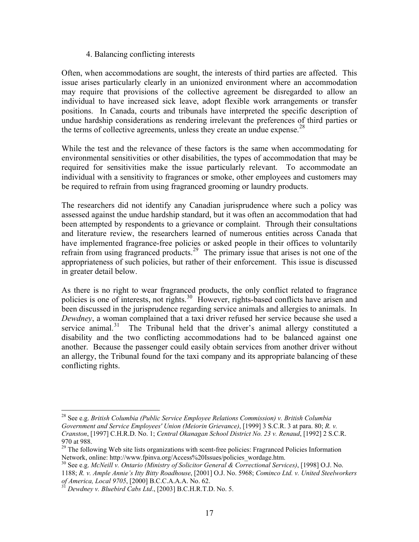#### 4. Balancing conflicting interests

Often, when accommodations are sought, the interests of third parties are affected. This issue arises particularly clearly in an unionized environment where an accommodation may require that provisions of the collective agreement be disregarded to allow an individual to have increased sick leave, adopt flexible work arrangements or transfer positions. In Canada, courts and tribunals have interpreted the specific description of undue hardship considerations as rendering irrelevant the preferences of third parties or the terms of collective agreements, unless they create an undue expense.<sup>28</sup>

While the test and the relevance of these factors is the same when accommodating for environmental sensitivities or other disabilities, the types of accommodation that may be required for sensitivities make the issue particularly relevant. To accommodate an individual with a sensitivity to fragrances or smoke, other employees and customers may be required to refrain from using fragranced grooming or laundry products.

The researchers did not identify any Canadian jurisprudence where such a policy was assessed against the undue hardship standard, but it was often an accommodation that had been attempted by respondents to a grievance or complaint. Through their consultations and literature review, the researchers learned of numerous entities across Canada that have implemented fragrance-free policies or asked people in their offices to voluntarily refrain from using fragranced products.<sup>29</sup> The primary issue that arises is not one of the appropriateness of such policies, but rather of their enforcement. This issue is discussed in greater detail below.

As there is no right to wear fragranced products, the only conflict related to fragrance policies is one of interests, not rights.<sup>30</sup> However, rights-based conflicts have arisen and been discussed in the jurisprudence regarding service animals and allergies to animals. In *Dewdney*, a woman complained that a taxi driver refused her service because she used a service animal. $31$  The Tribunal held that the driver's animal allergy constituted a disability and the two conflicting accommodations had to be balanced against one another. Because the passenger could easily obtain services from another driver without an allergy, the Tribunal found for the taxi company and its appropriate balancing of these conflicting rights.

<sup>30</sup> See e.g. *McNeill v. Ontario (Ministry of Solicitor General & Correctional Services)*, [1998] O.J. No. 1188; *R. v. Ample Annie's Itty Bitty Roadhouse*, [2001] O.J. No. 5968; *Cominco Ltd. v. United Steelworkers* 

<sup>28</sup> See e.g. *British Columbia (Public Service Employee Relations Commission) v. British Columbia Government and Service Employees' Union (Meiorin Grievance)*, [1999] 3 S.C.R. 3 at para. 80; *R. v. Cranston*, [1997] C.H.R.D. No. 1; *Central Okanagan School District No. 23 v. Renaud*, [1992] 2 S.C.R. 970 at 988.

<sup>&</sup>lt;sup>29</sup> The following Web site lists organizations with scent-free policies: Fragranced Policies Information Network, online: http://www.fpinva.org/Access%20Issues/policies wordage.htm.

*Dewdney v. Bluebird Cabs Ltd.*, [2003] B.C.H.R.T.D. No. 5.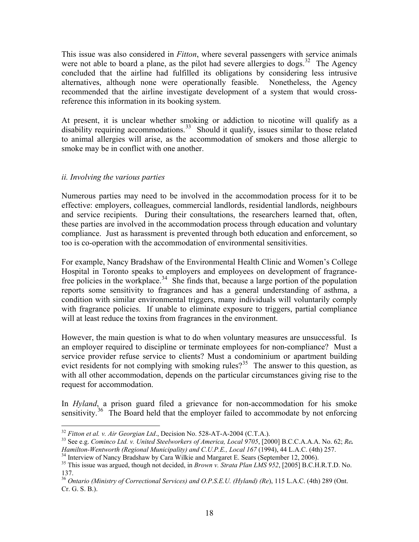This issue was also considered in *Fitton*, where several passengers with service animals were not able to board a plane, as the pilot had severe allergies to dogs.<sup>32</sup> The Agency concluded that the airline had fulfilled its obligations by considering less intrusive alternatives, although none were operationally feasible. Nonetheless, the Agency recommended that the airline investigate development of a system that would crossreference this information in its booking system.

At present, it is unclear whether smoking or addiction to nicotine will qualify as a disability requiring accommodations.<sup>33</sup> Should it qualify, issues similar to those related to animal allergies will arise, as the accommodation of smokers and those allergic to smoke may be in conflict with one another.

#### *ii. Involving the various parties*

Numerous parties may need to be involved in the accommodation process for it to be effective: employers, colleagues, commercial landlords, residential landlords, neighbours and service recipients. During their consultations, the researchers learned that, often, these parties are involved in the accommodation process through education and voluntary compliance. Just as harassment is prevented through both education and enforcement, so too is co-operation with the accommodation of environmental sensitivities.

For example, Nancy Bradshaw of the Environmental Health Clinic and Women's College Hospital in Toronto speaks to employers and employees on development of fragrancefree policies in the workplace.<sup>34</sup> She finds that, because a large portion of the population reports some sensitivity to fragrances and has a general understanding of asthma, a condition with similar environmental triggers, many individuals will voluntarily comply with fragrance policies. If unable to eliminate exposure to triggers, partial compliance will at least reduce the toxins from fragrances in the environment.

However, the main question is what to do when voluntary measures are unsuccessful. Is an employer required to discipline or terminate employees for non-compliance? Must a service provider refuse service to clients? Must a condominium or apartment building evict residents for not complying with smoking rules?<sup>35</sup> The answer to this question, as with all other accommodation, depends on the particular circumstances giving rise to the request for accommodation.

In *Hyland*, a prison guard filed a grievance for non-accommodation for his smoke sensitivity.<sup>36</sup> The Board held that the employer failed to accommodate by not enforcing

<sup>&</sup>lt;sup>32</sup> *Fitton et al. v. Air Georgian Ltd.*, Decision No. 528-AT-A-2004 (C.T.A.).<br><sup>33</sup> See e.g. *Cominco Ltd. v. United Steelworkers of America, Local 9705*, [2000] B.C.C.A.A.A. No. 62; *Re. Hamilton-Wentworth (Regional M* 

<sup>&</sup>lt;sup>34</sup> Interview of Nancy Bradshaw by Cara Wilkie and Margaret E. Sears (September 12, 2006).<br><sup>35</sup> This issue was argued, though not decided, in *Brown v. Strata Plan LMS* 952, [2005] B.C.H.R.T.D. No. 137.

<sup>36</sup> *Ontario (Ministry of Correctional Services) and O.P.S.E.U. (Hyland) (Re*), 115 L.A.C. (4th) 289 (Ont. Cr. G. S. B.).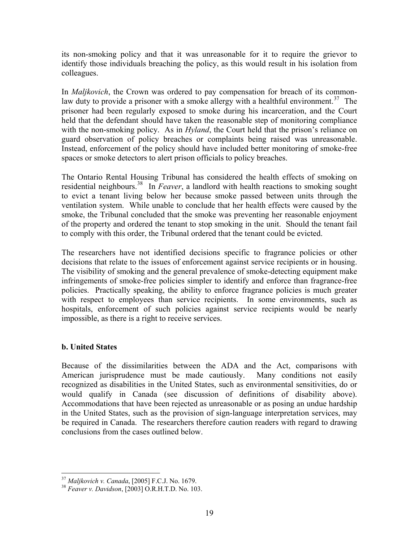<span id="page-18-0"></span>its non-smoking policy and that it was unreasonable for it to require the grievor to identify those individuals breaching the policy, as this would result in his isolation from colleagues.

In *Maljkovich*, the Crown was ordered to pay compensation for breach of its commonlaw duty to provide a prisoner with a smoke allergy with a healthful environment.<sup>37</sup> The prisoner had been regularly exposed to smoke during his incarceration, and the Court held that the defendant should have taken the reasonable step of monitoring compliance with the non-smoking policy. As in *Hyland*, the Court held that the prison's reliance on guard observation of policy breaches or complaints being raised was unreasonable. Instead, enforcement of the policy should have included better monitoring of smoke-free spaces or smoke detectors to alert prison officials to policy breaches.

The Ontario Rental Housing Tribunal has considered the health effects of smoking on residential neighbours.38 In *Feaver*, a landlord with health reactions to smoking sought to evict a tenant living below her because smoke passed between units through the ventilation system. While unable to conclude that her health effects were caused by the smoke, the Tribunal concluded that the smoke was preventing her reasonable enjoyment of the property and ordered the tenant to stop smoking in the unit. Should the tenant fail to comply with this order, the Tribunal ordered that the tenant could be evicted.

The researchers have not identified decisions specific to fragrance policies or other decisions that relate to the issues of enforcement against service recipients or in housing. The visibility of smoking and the general prevalence of smoke-detecting equipment make infringements of smoke-free policies simpler to identify and enforce than fragrance-free policies. Practically speaking, the ability to enforce fragrance policies is much greater with respect to employees than service recipients. In some environments, such as hospitals, enforcement of such policies against service recipients would be nearly impossible, as there is a right to receive services.

# **b. United States**

Because of the dissimilarities between the ADA and the Act, comparisons with American jurisprudence must be made cautiously. Many conditions not easily recognized as disabilities in the United States, such as environmental sensitivities, do or would qualify in Canada (see discussion of definitions of disability above). Accommodations that have been rejected as unreasonable or as posing an undue hardship in the United States, such as the provision of sign-language interpretation services, may be required in Canada. The researchers therefore caution readers with regard to drawing conclusions from the cases outlined below.

<sup>37</sup> *Maljkovich v. Canada*, [2005] F.C.J. No. 1679. 38 *Feaver v. Davidson*, [2003] O.R.H.T.D. No. 103.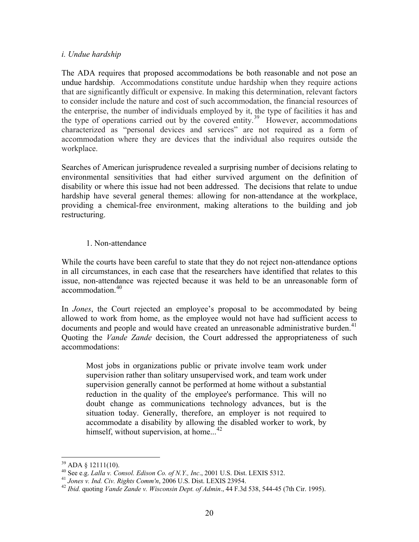#### *i. Undue hardship*

The ADA requires that proposed accommodations be both reasonable and not pose an undue hardship. Accommodations constitute undue hardship when they require actions that are significantly difficult or expensive. In making this determination, relevant factors to consider include the nature and cost of such accommodation, the financial resources of the enterprise, the number of individuals employed by it, the type of facilities it has and the type of operations carried out by the covered entity.<sup>39</sup> However, accommodations characterized as "personal devices and services" are not required as a form of accommodation where they are devices that the individual also requires outside the workplace.

Searches of American jurisprudence revealed a surprising number of decisions relating to environmental sensitivities that had either survived argument on the definition of disability or where this issue had not been addressed. The decisions that relate to undue hardship have several general themes: allowing for non-attendance at the workplace, providing a chemical-free environment, making alterations to the building and job restructuring.

#### 1. Non-attendance

While the courts have been careful to state that they do not reject non-attendance options in all circumstances, in each case that the researchers have identified that relates to this issue, non-attendance was rejected because it was held to be an unreasonable form of accommodation.<sup>40</sup>

In *Jones*, the Court rejected an employee's proposal to be accommodated by being allowed to work from home, as the employee would not have had sufficient access to documents and people and would have created an unreasonable administrative burden.<sup>41</sup> Quoting the *Vande Zande* decision, the Court addressed the appropriateness of such accommodations:

Most jobs in organizations public or private involve team work under supervision rather than solitary unsupervised work, and team work under supervision generally cannot be performed at home without a substantial reduction in the quality of the employee's performance. This will no doubt change as communications technology advances, but is the situation today. Generally, therefore, an employer is not required to accommodate a disability by allowing the disabled worker to work, by himself, without supervision, at home...<sup>42</sup>

<sup>&</sup>lt;sup>39</sup> ADA § 12111(10).<br><sup>40</sup> See e.g. *Lalla v. Consol. Edison Co. of N.Y., Inc.*, 2001 U.S. Dist. LEXIS 5312.

<sup>&</sup>lt;sup>41</sup> Jones v. Ind. Civ. Rights Comm'n, 2006 U.S. Dist. LEXIS 23954.<br><sup>42</sup> Ibid. quoting *Vande Zande v. Wisconsin Dept. of Admin.*, 44 F.3d 538, 544-45 (7th Cir. 1995).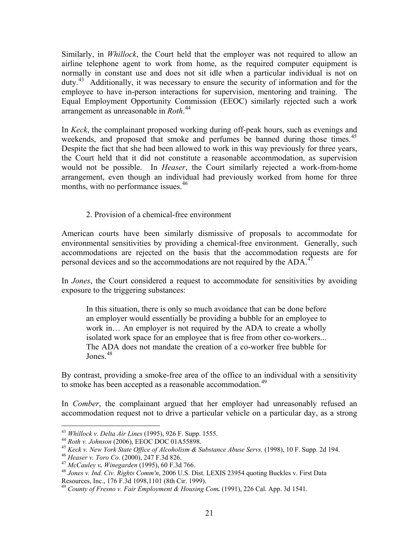Similarly, in *Whillock*, the Court held that the employer was not required to allow an airline telephone agent to work from home, as the required computer equipment is normally in constant use and does not sit idle when a particular individual is not on duty.<sup>43</sup> Additionally, it was necessary to ensure the security of information and for the employee to have in-person interactions for supervision, mentoring and training. The Equal Employment Opportunity Commission (EEOC) similarly rejected such a work arrangement as unreasonable in *Roth*. 44

In *Keck*, the complainant proposed working during off-peak hours, such as evenings and weekends, and proposed that smoke and perfumes be banned during those times.<sup>45</sup> Despite the fact that she had been allowed to work in this way previously for three years, the Court held that it did not constitute a reasonable accommodation, as supervision would not be possible. In *Heaser*, the Court similarly rejected a work-from-home arrangement, even though an individual had previously worked from home for three months, with no performance issues.<sup>46</sup>

#### 2. Provision of a chemical-free environment

American courts have been similarly dismissive of proposals to accommodate for environmental sensitivities by providing a chemical-free environment. Generally, such accommodations are rejected on the basis that the accommodation requests are for personal devices and so the accommodations are not required by the ADA.<sup>47</sup>

In *Jones*, the Court considered a request to accommodate for sensitivities by avoiding exposure to the triggering substances:

In this situation, there is only so much avoidance that can be done before an employer would essentially be providing a bubble for an employee to work in… An employer is not required by the ADA to create a wholly isolated work space for an employee that is free from other co-workers... The ADA does not mandate the creation of a co-worker free bubble for Jones  $48$ 

By contrast, providing a smoke-free area of the office to an individual with a sensitivity to smoke has been accepted as a reasonable accommodation.<sup>49</sup>

In *Comber*, the complainant argued that her employer had unreasonably refused an accommodation request not to drive a particular vehicle on a particular day, as a strong

<sup>&</sup>lt;sup>43</sup> Whillock v. Delta Air Lines (1995), 926 F. Supp. 1555.<br><sup>44</sup> Roth v. Johnson (2006), EEOC DOC 01A55898.<br><sup>45</sup> Keck v. New York State Office of Alcoholism & Substance Abuse Servs. (1998), 10 F. Supp. 2d 194.<br><sup>45</sup> Heaser

Resources, Inc., 176 F.3d 1098,1101 (8th Cir. 1999).

<sup>49</sup> *County of Fresno v. Fair Employment & Housing Com.* (1991), 226 Cal. App. 3d 1541.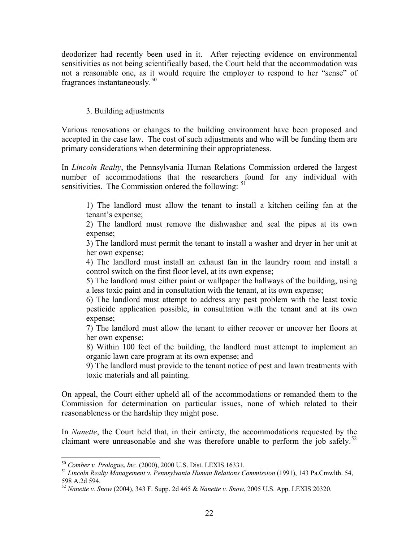deodorizer had recently been used in it. After rejecting evidence on environmental sensitivities as not being scientifically based, the Court held that the accommodation was not a reasonable one, as it would require the employer to respond to her "sense" of fragrances instantaneously.<sup>50</sup>

## 3. Building adjustments

Various renovations or changes to the building environment have been proposed and accepted in the case law. The cost of such adjustments and who will be funding them are primary considerations when determining their appropriateness.

In *Lincoln Realty*, the Pennsylvania Human Relations Commission ordered the largest number of accommodations that the researchers found for any individual with sensitivities. The Commission ordered the following: <sup>51</sup>

1) The landlord must allow the tenant to install a kitchen ceiling fan at the tenant's expense;

2) The landlord must remove the dishwasher and seal the pipes at its own expense;

3) The landlord must permit the tenant to install a washer and dryer in her unit at her own expense;

4) The landlord must install an exhaust fan in the laundry room and install a control switch on the first floor level, at its own expense;

5) The landlord must either paint or wallpaper the hallways of the building, using a less toxic paint and in consultation with the tenant, at its own expense;

6) The landlord must attempt to address any pest problem with the least toxic pesticide application possible, in consultation with the tenant and at its own expense;

7) The landlord must allow the tenant to either recover or uncover her floors at her own expense;

8) Within 100 feet of the building, the landlord must attempt to implement an organic lawn care program at its own expense; and

9) The landlord must provide to the tenant notice of pest and lawn treatments with toxic materials and all painting.

On appeal, the Court either upheld all of the accommodations or remanded them to the Commission for determination on particular issues, none of which related to their reasonableness or the hardship they might pose.

In *Nanette*, the Court held that, in their entirety, the accommodations requested by the claimant were unreasonable and she was therefore unable to perform the job safely.<sup>52</sup>

<sup>50</sup> *Comber v. Prologue, Inc.* (2000), 2000 U.S. Dist. LEXIS 16331. 51 *Lincoln Realty Management v. Pennsylvania Human Relations Commission* (1991), 143 Pa.Cmwlth. 54, 598 A.2d 594.

<sup>52</sup> *Nanette v. Snow* (2004), 343 F. Supp. 2d 465 & *Nanette v. Snow*, 2005 U.S. App. LEXIS 20320.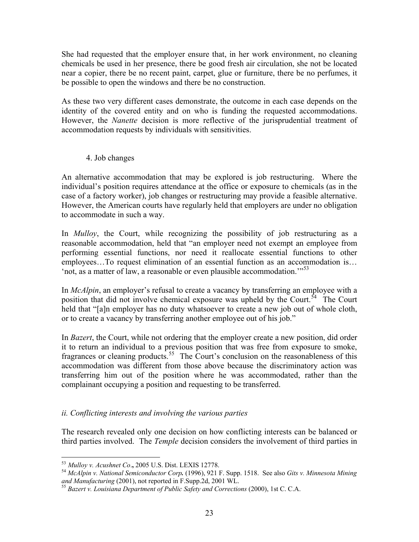She had requested that the employer ensure that, in her work environment, no cleaning chemicals be used in her presence, there be good fresh air circulation, she not be located near a copier, there be no recent paint, carpet, glue or furniture, there be no perfumes, it be possible to open the windows and there be no construction.

As these two very different cases demonstrate, the outcome in each case depends on the identity of the covered entity and on who is funding the requested accommodations. However, the *Nanette* decision is more reflective of the jurisprudential treatment of accommodation requests by individuals with sensitivities.

# 4. Job changes

An alternative accommodation that may be explored is job restructuring. Where the individual's position requires attendance at the office or exposure to chemicals (as in the case of a factory worker), job changes or restructuring may provide a feasible alternative. However, the American courts have regularly held that employers are under no obligation to accommodate in such a way.

In *Mulloy*, the Court, while recognizing the possibility of job restructuring as a reasonable accommodation, held that "an employer need not exempt an employee from performing essential functions, nor need it reallocate essential functions to other employees…To request elimination of an essential function as an accommodation is… 'not, as a matter of law, a reasonable or even plausible accommodation.'"<sup>53</sup>

In *McAlpin*, an employer's refusal to create a vacancy by transferring an employee with a position that did not involve chemical exposure was upheld by the Court.<sup>54</sup> The Court held that "[a]n employer has no duty whatsoever to create a new job out of whole cloth, or to create a vacancy by transferring another employee out of his job."

In *Bazert*, the Court, while not ordering that the employer create a new position, did order it to return an individual to a previous position that was free from exposure to smoke, fragrances or cleaning products.<sup>55</sup> The Court's conclusion on the reasonableness of this accommodation was different from those above because the discriminatory action was transferring him out of the position where he was accommodated, rather than the complainant occupying a position and requesting to be transferred.

# *ii. Conflicting interests and involving the various parties*

The research revealed only one decision on how conflicting interests can be balanced or third parties involved. The *Temple* decision considers the involvement of third parties in

<sup>53</sup> *Mulloy v. Acushnet Co*.**,** 2005 U.S. Dist. LEXIS 12778. 54 *McAlpin v. National Semiconductor Corp.* (1996), 921 F. Supp. 1518. See also *Gits v. Minnesota Mining and Manufacturing* (2001), not reported in F.Supp.2d, 2001 WL. 55 *Bazert v. Louisiana Department of Public Safety and Corrections* (2000), 1st C. C.A.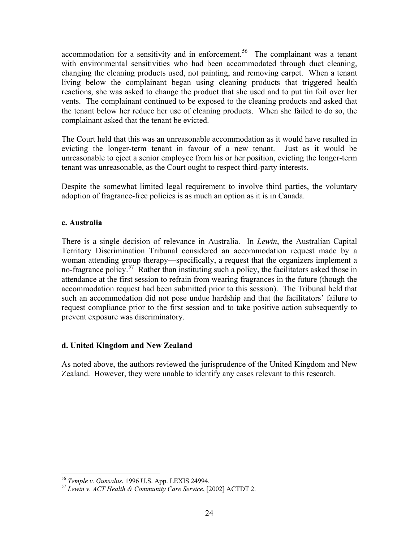<span id="page-23-0"></span>accommodation for a sensitivity and in enforcement.<sup>56</sup> The complainant was a tenant with environmental sensitivities who had been accommodated through duct cleaning, changing the cleaning products used, not painting, and removing carpet. When a tenant living below the complainant began using cleaning products that triggered health reactions, she was asked to change the product that she used and to put tin foil over her vents. The complainant continued to be exposed to the cleaning products and asked that the tenant below her reduce her use of cleaning products. When she failed to do so, the complainant asked that the tenant be evicted.

The Court held that this was an unreasonable accommodation as it would have resulted in evicting the longer-term tenant in favour of a new tenant. Just as it would be unreasonable to eject a senior employee from his or her position, evicting the longer-term tenant was unreasonable, as the Court ought to respect third-party interests.

Despite the somewhat limited legal requirement to involve third parties, the voluntary adoption of fragrance-free policies is as much an option as it is in Canada.

#### **c. Australia**

There is a single decision of relevance in Australia. In *Lewin*, the Australian Capital Territory Discrimination Tribunal considered an accommodation request made by a woman attending group therapy—specifically, a request that the organizers implement a no-fragrance policy.<sup>57</sup> Rather than instituting such a policy, the facilitators asked those in attendance at the first session to refrain from wearing fragrances in the future (though the accommodation request had been submitted prior to this session). The Tribunal held that such an accommodation did not pose undue hardship and that the facilitators' failure to request compliance prior to the first session and to take positive action subsequently to prevent exposure was discriminatory.

# **d. United Kingdom and New Zealand**

As noted above, the authors reviewed the jurisprudence of the United Kingdom and New Zealand. However, they were unable to identify any cases relevant to this research.

<sup>56</sup> *Temple v. Gunsalus*, 1996 U.S. App. LEXIS 24994. 57 *Lewin v. ACT Health & Community Care Service*, [2002] ACTDT 2.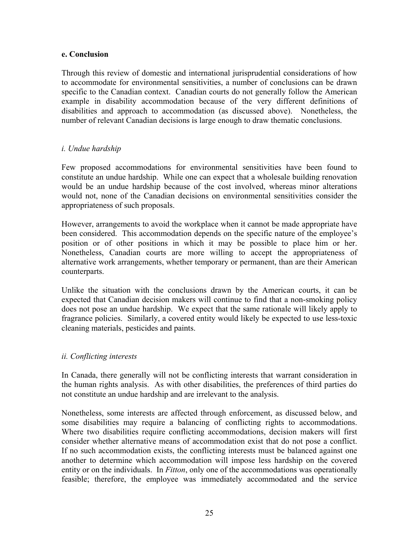#### <span id="page-24-0"></span>**e. Conclusion**

Through this review of domestic and international jurisprudential considerations of how to accommodate for environmental sensitivities, a number of conclusions can be drawn specific to the Canadian context. Canadian courts do not generally follow the American example in disability accommodation because of the very different definitions of disabilities and approach to accommodation (as discussed above). Nonetheless, the number of relevant Canadian decisions is large enough to draw thematic conclusions.

#### *i. Undue hardship*

Few proposed accommodations for environmental sensitivities have been found to constitute an undue hardship. While one can expect that a wholesale building renovation would be an undue hardship because of the cost involved, whereas minor alterations would not, none of the Canadian decisions on environmental sensitivities consider the appropriateness of such proposals.

However, arrangements to avoid the workplace when it cannot be made appropriate have been considered. This accommodation depends on the specific nature of the employee's position or of other positions in which it may be possible to place him or her. Nonetheless, Canadian courts are more willing to accept the appropriateness of alternative work arrangements, whether temporary or permanent, than are their American counterparts.

Unlike the situation with the conclusions drawn by the American courts, it can be expected that Canadian decision makers will continue to find that a non-smoking policy does not pose an undue hardship. We expect that the same rationale will likely apply to fragrance policies. Similarly, a covered entity would likely be expected to use less-toxic cleaning materials, pesticides and paints.

#### *ii. Conflicting interests*

In Canada, there generally will not be conflicting interests that warrant consideration in the human rights analysis. As with other disabilities, the preferences of third parties do not constitute an undue hardship and are irrelevant to the analysis.

Nonetheless, some interests are affected through enforcement, as discussed below, and some disabilities may require a balancing of conflicting rights to accommodations. Where two disabilities require conflicting accommodations, decision makers will first consider whether alternative means of accommodation exist that do not pose a conflict. If no such accommodation exists, the conflicting interests must be balanced against one another to determine which accommodation will impose less hardship on the covered entity or on the individuals. In *Fitton*, only one of the accommodations was operationally feasible; therefore, the employee was immediately accommodated and the service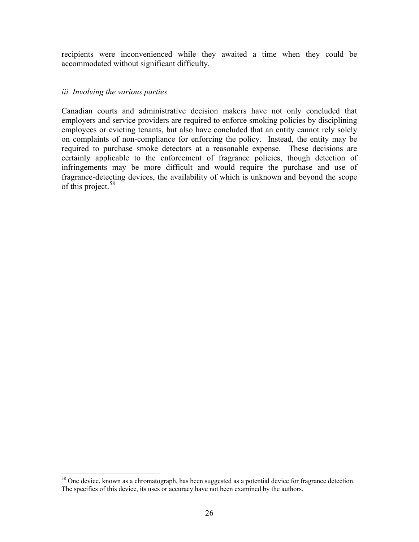recipients were inconvenienced while they awaited a time when they could be accommodated without significant difficulty.

#### *iii. Involving the various parties*

Canadian courts and administrative decision makers have not only concluded that employers and service providers are required to enforce smoking policies by disciplining employees or evicting tenants, but also have concluded that an entity cannot rely solely on complaints of non-compliance for enforcing the policy. Instead, the entity may be required to purchase smoke detectors at a reasonable expense. These decisions are certainly applicable to the enforcement of fragrance policies, though detection of infringements may be more difficult and would require the purchase and use of fragrance-detecting devices, the availability of which is unknown and beyond the scope of this project.<sup>58</sup>

<sup>&</sup>lt;sup>58</sup> One device, known as a chromatograph, has been suggested as a potential device for fragrance detection. The specifics of this device, its uses or accuracy have not been examined by the authors.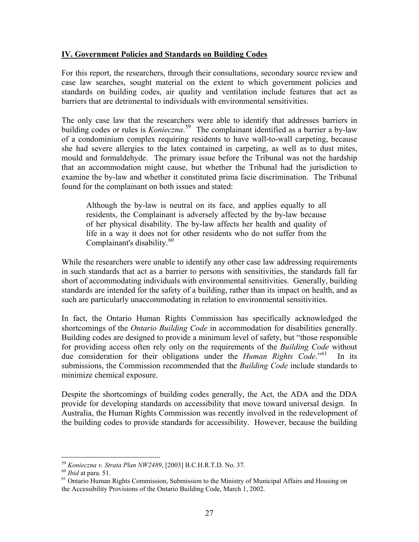## <span id="page-26-0"></span>**IV. Government Policies and Standards on Building Codes**

For this report, the researchers, through their consultations, secondary source review and case law searches, sought material on the extent to which government policies and standards on building codes, air quality and ventilation include features that act as barriers that are detrimental to individuals with environmental sensitivities.

The only case law that the researchers were able to identify that addresses barriers in building codes or rules is *Konieczna*. 59 The complainant identified as a barrier a by-law of a condominium complex requiring residents to have wall-to-wall carpeting, because she had severe allergies to the latex contained in carpeting, as well as to dust mites, mould and formaldehyde. The primary issue before the Tribunal was not the hardship that an accommodation might cause, but whether the Tribunal had the jurisdiction to examine the by-law and whether it constituted prima facie discrimination. The Tribunal found for the complainant on both issues and stated:

Although the by-law is neutral on its face, and applies equally to all residents, the Complainant is adversely affected by the by-law because of her physical disability. The by-law affects her health and quality of life in a way it does not for other residents who do not suffer from the Complainant's disability.<sup>60</sup>

While the researchers were unable to identify any other case law addressing requirements in such standards that act as a barrier to persons with sensitivities, the standards fall far short of accommodating individuals with environmental sensitivities. Generally, building standards are intended for the safety of a building, rather than its impact on health, and as such are particularly unaccommodating in relation to environmental sensitivities.

In fact, the Ontario Human Rights Commission has specifically acknowledged the shortcomings of the *Ontario Building Code* in accommodation for disabilities generally. Building codes are designed to provide a minimum level of safety, but "those responsible for providing access often rely only on the requirements of the *Building Code* without due consideration for their obligations under the *Human Rights Code*.<sup>"61</sup> In its submissions, the Commission recommended that the *Building Code* include standards to minimize chemical exposure.

Despite the shortcomings of building codes generally, the Act, the ADA and the DDA provide for developing standards on accessibility that move toward universal design. In Australia, the Human Rights Commission was recently involved in the redevelopment of the building codes to provide standards for accessibility. However, because the building

<sup>&</sup>lt;sup>59</sup> *Konieczna v. Strata Plan NW2489*, [2003] B.C.H.R.T.D. No. 37.<br><sup>60</sup> *Ibid* at para. 51.<br><sup>61</sup> Ontario Human Rights Commission, Submission to the Ministry of Municipal Affairs and Housing on the Accessibility Provisions of the Ontario Building Code, March 1, 2002.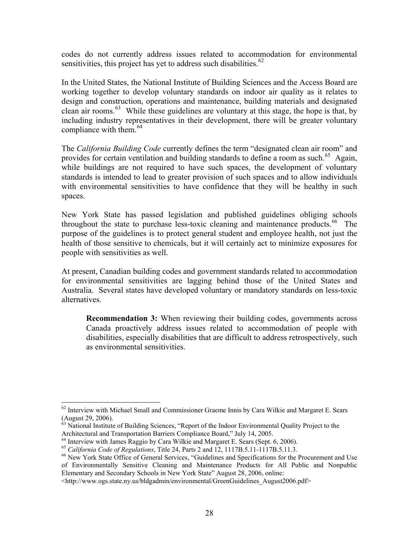codes do not currently address issues related to accommodation for environmental sensitivities, this project has yet to address such disabilities.<sup>62</sup>

In the United States, the National Institute of Building Sciences and the Access Board are working together to develop voluntary standards on indoor air quality as it relates to design and construction, operations and maintenance, building materials and designated clean air rooms.<sup>63</sup> While these guidelines are voluntary at this stage, the hope is that, by including industry representatives in their development, there will be greater voluntary compliance with them. $64$ 

The *California Building Code* currently defines the term "designated clean air room" and provides for certain ventilation and building standards to define a room as such.<sup>65</sup> Again, while buildings are not required to have such spaces, the development of voluntary standards is intended to lead to greater provision of such spaces and to allow individuals with environmental sensitivities to have confidence that they will be healthy in such spaces.

New York State has passed legislation and published guidelines obliging schools throughout the state to purchase less-toxic cleaning and maintenance products. <sup>66</sup> The purpose of the guidelines is to protect general student and employee health, not just the health of those sensitive to chemicals, but it will certainly act to minimize exposures for people with sensitivities as well.

At present, Canadian building codes and government standards related to accommodation for environmental sensitivities are lagging behind those of the United States and Australia. Several states have developed voluntary or mandatory standards on less-toxic alternatives.

**Recommendation 3:** When reviewing their building codes, governments across Canada proactively address issues related to accommodation of people with disabilities, especially disabilities that are difficult to address retrospectively, such as environmental sensitivities.

<sup>&</sup>lt;sup>62</sup> Interview with Michael Small and Commissioner Graeme Innis by Cara Wilkie and Margaret E. Sears (August 29, 2006).

<sup>&</sup>lt;sup>63</sup> National Institute of Building Sciences, "Report of the Indoor Environmental Quality Project to the Architectural and Transportation Barriers Compliance Board," July 14, 2005.<br><sup>64</sup> Interview with James Raggio by Cara Wilkie and Margaret E. Sears (Sept. 6, 2006).<br><sup>65</sup> California Code of Regulations, Title 24, Parts 2 and

of Environmentally Sensitive Cleaning and Maintenance Products for All Public and Nonpublic Elementary and Secondary Schools in New York State" August 28, 2006, online:

<sup>&</sup>lt;[http://www.ogs.state.ny.us/bldgadmin/environmental/GreenGuidelines\\_August2006.pdf>](http://www.ogs.state.ny.us/bldgadmin/environmental/GreenGuidelines_August2006.pdf)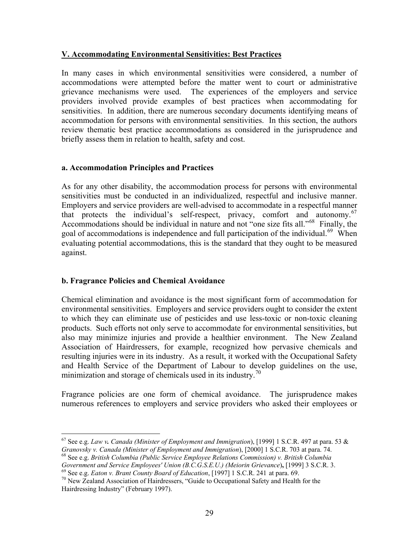## <span id="page-28-0"></span>**V. Accommodating Environmental Sensitivities: Best Practices**

In many cases in which environmental sensitivities were considered, a number of accommodations were attempted before the matter went to court or administrative grievance mechanisms were used. The experiences of the employers and service providers involved provide examples of best practices when accommodating for sensitivities. In addition, there are numerous secondary documents identifying means of accommodation for persons with environmental sensitivities. In this section, the authors review thematic best practice accommodations as considered in the jurisprudence and briefly assess them in relation to health, safety and cost.

#### **a. Accommodation Principles and Practices**

As for any other disability, the accommodation process for persons with environmental sensitivities must be conducted in an individualized, respectful and inclusive manner. Employers and service providers are well-advised to accommodate in a respectful manner that protects the individual's self-respect, privacy, comfort and autonomy.<sup>67</sup> Accommodations should be individual in nature and not "one size fits all."<sup>68</sup> Finally, the goal of accommodations is independence and full participation of the individual.<sup>69</sup> When evaluating potential accommodations, this is the standard that they ought to be measured against.

# **b. Fragrance Policies and Chemical Avoidance**

Chemical elimination and avoidance is the most significant form of accommodation for environmental sensitivities. Employers and service providers ought to consider the extent to which they can eliminate use of pesticides and use less-toxic or non-toxic cleaning products. Such efforts not only serve to accommodate for environmental sensitivities, but also may minimize injuries and provide a healthier environment. The New Zealand Association of Hairdressers, for example, recognized how pervasive chemicals and resulting injuries were in its industry. As a result, it worked with the Occupational Safety and Health Service of the Department of Labour to develop guidelines on the use, minimization and storage of chemicals used in its industry.<sup>70</sup>

Fragrance policies are one form of chemical avoidance. The jurisprudence makes numerous references to employers and service providers who asked their employees or

<sup>67</sup> See e.g. *Law v. Canada (Minister of Employment and Immigration*), [1999] 1 S.C.R. 497 at para. 53 &

<sup>&</sup>lt;sup>68</sup> See e.g. *British Columbia (Public Service Employee Relations Commission) v. British Columbia Government and Service Employees' Union (B.C.G.S.E.U.) (Meiorin Grievance), [1999] 3 S.C.R. 3.* 

<sup>&</sup>lt;sup>69</sup> See e.g. *Eaton v. Brant County Board of Education*, [1997] 1 S.C.R. 241 at para. 69.<br><sup>70</sup> New Zealand Association of Hairdressers, "Guide to Occupational Safety and Health for the

Hairdressing Industry" (February 1997).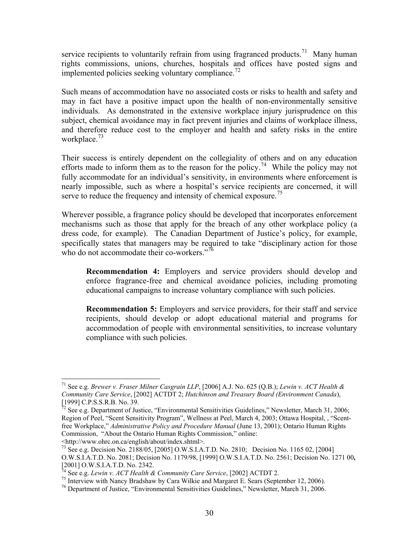service recipients to voluntarily refrain from using fragranced products.<sup>71</sup> Many human rights commissions, unions, churches, hospitals and offices have posted signs and implemented policies seeking voluntary compliance.<sup>72</sup>

Such means of accommodation have no associated costs or risks to health and safety and may in fact have a positive impact upon the health of non-environmentally sensitive individuals. As demonstrated in the extensive workplace injury jurisprudence on this subject, chemical avoidance may in fact prevent injuries and claims of workplace illness, and therefore reduce cost to the employer and health and safety risks in the entire workplace. $^{73}$ 

Their success is entirely dependent on the collegiality of others and on any education efforts made to inform them as to the reason for the policy.<sup>74</sup> While the policy may not fully accommodate for an individual's sensitivity, in environments where enforcement is nearly impossible, such as where a hospital's service recipients are concerned, it will serve to reduce the frequency and intensity of chemical exposure.<sup>75</sup>

Wherever possible, a fragrance policy should be developed that incorporates enforcement mechanisms such as those that apply for the breach of any other workplace policy (a dress code, for example). The Canadian Department of Justice's policy, for example, specifically states that managers may be required to take "disciplinary action for those who do not accommodate their co-workers."<sup>76</sup>

**Recommendation 4:** Employers and service providers should develop and enforce fragrance-free and chemical avoidance policies, including promoting educational campaigns to increase voluntary compliance with such policies.

**Recommendation 5:** Employers and service providers, for their staff and service recipients, should develop or adopt educational material and programs for accommodation of people with environmental sensitivities, to increase voluntary compliance with such policies.

<[http://www.ohrc.on.ca/english/about/index.shtml>.](http://www.ohrc.on.ca/english/about/index.shtml) 

<sup>71</sup> See e.g. *Brewer v. Fraser Milner Casgrain LLP*, [2006] A.J. No. 625 (Q.B.); *Lewin v. ACT Health & Community Care Service*, [2002] ACTDT 2; *Hutchinson and Treasury Board (Environment Canada*), [1999] C.P.S.S.R.B. No. 39.

 $\frac{7}{2}$  See e.g. Department of Justice, "Environmental Sensitivities Guidelines," Newsletter, March 31, 2006; Region of Peel, "Scent Sensitivity Program", Wellness at Peel, March 4, 2003; Ottawa Hospital, , "Scentfree Workplace," *Administrative Policy and Procedure Manual* (June 13, 2001); Ontario Human Rights Commission, "About the Ontario Human Rights Commission," online:

<sup>73</sup> See e.g. Decision No. 2188/05, [2005] O.W.S.I.A.T.D. No. 2810; Decision No. 1165 02, [2004] O.W.S.I.A.T.D. No. 2081; Decision No. 1179/98, [1999] O.W.S.I.A.T.D. No. 2561; Decision No. 1271 00**,**  [2001] O.W.S.I.A.T.D. No. 2342.<br><sup>74</sup> See e.g. *Lewin v. ACT Health & Community Care Service*, [2002] ACTDT 2.

<sup>&</sup>lt;sup>75</sup> Interview with Nancy Bradshaw by Cara Wilkie and Margaret E. Sears (September 12, 2006).<br><sup>76</sup> Department of Justice, "Environmental Sensitivities Guidelines," Newsletter, March 31, 2006.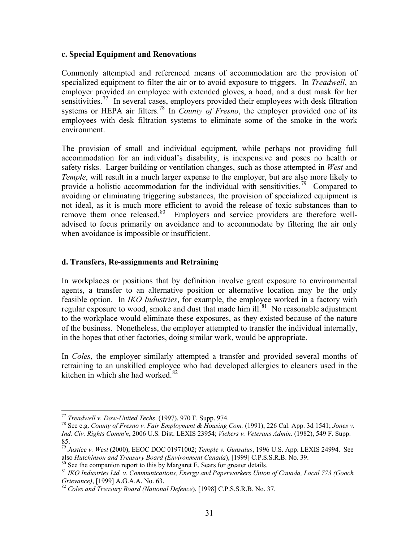#### <span id="page-30-0"></span>**c. Special Equipment and Renovations**

Commonly attempted and referenced means of accommodation are the provision of specialized equipment to filter the air or to avoid exposure to triggers. In *Treadwell*, an employer provided an employee with extended gloves, a hood, and a dust mask for her sensitivities.<sup>77</sup> In several cases, employers provided their employees with desk filtration systems or HEPA air filters.<sup>78</sup> In *County of Fresno*, the employer provided one of its employees with desk filtration systems to eliminate some of the smoke in the work environment.

The provision of small and individual equipment, while perhaps not providing full accommodation for an individual's disability, is inexpensive and poses no health or safety risks. Larger building or ventilation changes, such as those attempted in *West* and *Temple*, will result in a much larger expense to the employer, but are also more likely to provide a holistic accommodation for the individual with sensitivities.<sup>79</sup> Compared to avoiding or eliminating triggering substances, the provision of specialized equipment is not ideal, as it is much more efficient to avoid the release of toxic substances than to remove them once released.<sup>80</sup> Employers and service providers are therefore welladvised to focus primarily on avoidance and to accommodate by filtering the air only when avoidance is impossible or insufficient.

#### **d. Transfers, Re-assignments and Retraining**

In workplaces or positions that by definition involve great exposure to environmental agents, a transfer to an alternative position or alternative location may be the only feasible option. In *IKO Industries*, for example, the employee worked in a factory with regular exposure to wood, smoke and dust that made him  $ill<sup>81</sup>$  No reasonable adjustment to the workplace would eliminate these exposures, as they existed because of the nature of the business. Nonetheless, the employer attempted to transfer the individual internally, in the hopes that other factories, doing similar work, would be appropriate.

In *Coles*, the employer similarly attempted a transfer and provided several months of retraining to an unskilled employee who had developed allergies to cleaners used in the kitchen in which she had worked.<sup>82</sup>

<sup>&</sup>lt;sup>77</sup> *Treadwell v. Dow-United Techs.* (1997), 970 F. Supp. 974.<br><sup>78</sup> See e.g. *County of Fresno v. Fair Employment & Housing Com.* (1991), 226 Cal. App. 3d 1541; *Jones v. Ind. Civ. Rights Comm'n*, 2006 U.S. Dist. LEXIS 23954; *Vickers v. Veterans Admin.* (1982), 549 F. Supp. 85.

<sup>79</sup> *Justice v. West* (2000), EEOC DOC 01971002; *Temple v. Gunsalus*, 1996 U.S. App. LEXIS 24994. See

<sup>&</sup>lt;sup>80</sup> See the companion report to this by Margaret E. Sears for greater details.<br><sup>81</sup> IKO Industries Ltd. v. Communications, Energy and Paperworkers Union of Canada, Local 773 (Gooch Grievance), [1999] A.G.A.A. No. 63.

*Grievance)*, [1999] A.G.A.A. No. 63. 82 *Coles and Treasury Board (National Defence*), [1998] C.P.S.S.R.B. No. 37.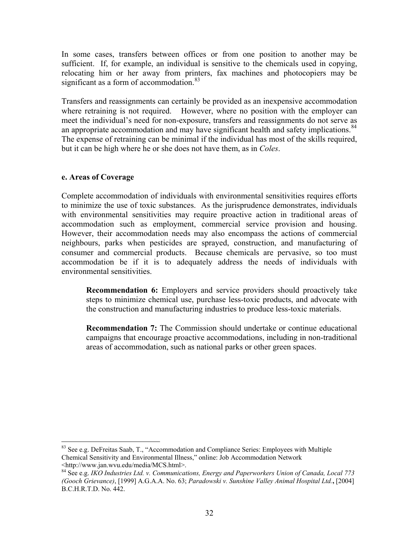<span id="page-31-0"></span>In some cases, transfers between offices or from one position to another may be sufficient. If, for example, an individual is sensitive to the chemicals used in copying, relocating him or her away from printers, fax machines and photocopiers may be significant as a form of accommodation. $83$ 

Transfers and reassignments can certainly be provided as an inexpensive accommodation where retraining is not required. However, where no position with the employer can meet the individual's need for non-exposure, transfers and reassignments do not serve as an appropriate accommodation and may have significant health and safety implications.<sup>84</sup> The expense of retraining can be minimal if the individual has most of the skills required, but it can be high where he or she does not have them, as in *Coles*.

#### **e. Areas of Coverage**

Complete accommodation of individuals with environmental sensitivities requires efforts to minimize the use of toxic substances. As the jurisprudence demonstrates, individuals with environmental sensitivities may require proactive action in traditional areas of accommodation such as employment, commercial service provision and housing. However, their accommodation needs may also encompass the actions of commercial neighbours, parks when pesticides are sprayed, construction, and manufacturing of consumer and commercial products. Because chemicals are pervasive, so too must accommodation be if it is to adequately address the needs of individuals with environmental sensitivities.

**Recommendation 6:** Employers and service providers should proactively take steps to minimize chemical use, purchase less-toxic products, and advocate with the construction and manufacturing industries to produce less-toxic materials.

**Recommendation 7:** The Commission should undertake or continue educational campaigns that encourage proactive accommodations, including in non-traditional areas of accommodation, such as national parks or other green spaces.

<sup>83</sup> See e.g. DeFreitas Saab, T., "Accommodation and Compliance Series: Employees with Multiple Chemical Sensitivity and Environmental Illness," online: Job Accommodation Network <[http://www.jan.wvu.edu/media/MCS.html>.](http://www.jan.wvu.edu/media/MCS.html) 

<sup>84</sup> See e.g. *IKO Industries Ltd. v. Communications, Energy and Paperworkers Union of Canada, Local 773 (Gooch Grievance)*, [1999] A.G.A.A. No. 63; *Paradowski v. Sunshine Valley Animal Hospital Ltd.***,** [2004] B.C.H.R.T.D. No. 442.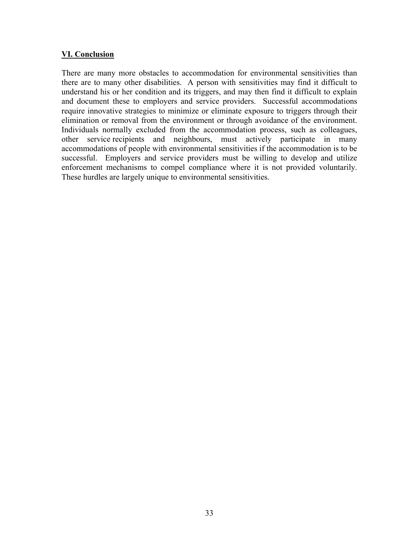## <span id="page-32-0"></span>**VI. Conclusion**

There are many more obstacles to accommodation for environmental sensitivities than there are to many other disabilities. A person with sensitivities may find it difficult to understand his or her condition and its triggers, and may then find it difficult to explain and document these to employers and service providers. Successful accommodations require innovative strategies to minimize or eliminate exposure to triggers through their elimination or removal from the environment or through avoidance of the environment. Individuals normally excluded from the accommodation process, such as colleagues, other service recipients and neighbours, must actively participate in many accommodations of people with environmental sensitivities if the accommodation is to be successful. Employers and service providers must be willing to develop and utilize enforcement mechanisms to compel compliance where it is not provided voluntarily. These hurdles are largely unique to environmental sensitivities.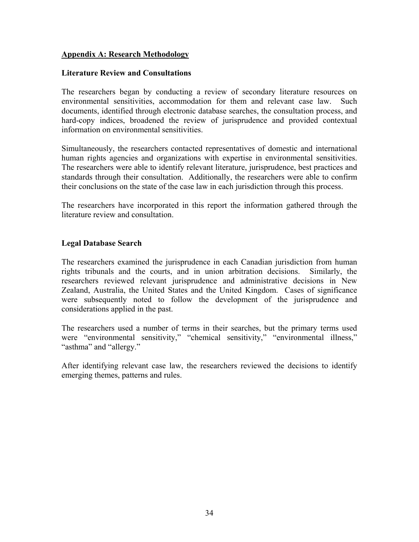#### <span id="page-33-0"></span>**Appendix A: Research Methodology**

#### **Literature Review and Consultations**

The researchers began by conducting a review of secondary literature resources on environmental sensitivities, accommodation for them and relevant case law. Such documents, identified through electronic database searches, the consultation process, and hard-copy indices, broadened the review of jurisprudence and provided contextual information on environmental sensitivities.

Simultaneously, the researchers contacted representatives of domestic and international human rights agencies and organizations with expertise in environmental sensitivities. The researchers were able to identify relevant literature, jurisprudence, best practices and standards through their consultation. Additionally, the researchers were able to confirm their conclusions on the state of the case law in each jurisdiction through this process.

The researchers have incorporated in this report the information gathered through the literature review and consultation.

#### **Legal Database Search**

The researchers examined the jurisprudence in each Canadian jurisdiction from human rights tribunals and the courts, and in union arbitration decisions. Similarly, the researchers reviewed relevant jurisprudence and administrative decisions in New Zealand, Australia, the United States and the United Kingdom. Cases of significance were subsequently noted to follow the development of the jurisprudence and considerations applied in the past.

The researchers used a number of terms in their searches, but the primary terms used were "environmental sensitivity," "chemical sensitivity," "environmental illness," "asthma" and "allergy."

After identifying relevant case law, the researchers reviewed the decisions to identify emerging themes, patterns and rules.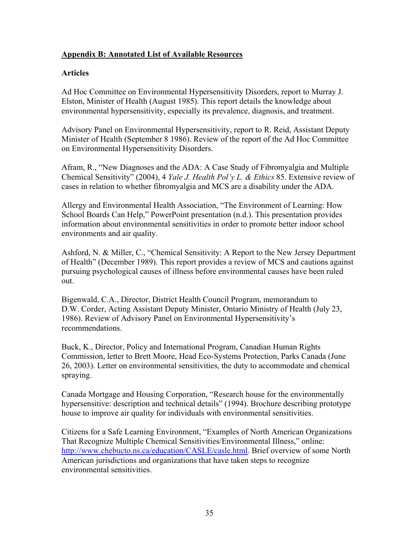# <span id="page-34-0"></span>**Appendix B: Annotated List of Available Resources**

## **Articles**

Ad Hoc Committee on Environmental Hypersensitivity Disorders, report to Murray J. Elston, Minister of Health (August 1985). This report details the knowledge about environmental hypersensitivity, especially its prevalence, diagnosis, and treatment.

Advisory Panel on Environmental Hypersensitivity, report to R. Reid, Assistant Deputy Minister of Health (September 8 1986). Review of the report of the Ad Hoc Committee on Environmental Hypersensitivity Disorders.

Afram, R., "New Diagnoses and the ADA: A Case Study of Fibromyalgia and Multiple Chemical Sensitivity" (2004), 4 *Yale J. Health Pol'y L. & Ethics* 85. Extensive review of cases in relation to whether fibromyalgia and MCS are a disability under the ADA.

Allergy and Environmental Health Association, "The Environment of Learning: How School Boards Can Help," PowerPoint presentation (n.d.). This presentation provides information about environmental sensitivities in order to promote better indoor school environments and air quality.

Ashford, N. & Miller, C., "Chemical Sensitivity: A Report to the New Jersey Department of Health" (December 1989). This report provides a review of MCS and cautions against pursuing psychological causes of illness before environmental causes have been ruled out.

Bigenwald, C.A., Director, District Health Council Program, memorandum to D.W. Corder, Acting Assistant Deputy Minister, Ontario Ministry of Health (July 23, 1986). Review of Advisory Panel on Environmental Hypersensitivity's recommendations.

Buck, K., Director, Policy and International Program, Canadian Human Rights Commission, letter to Brett Moore, Head Eco-Systems Protection, Parks Canada (June 26, 2003). Letter on environmental sensitivities, the duty to accommodate and chemical spraying.

Canada Mortgage and Housing Corporation, "Research house for the environmentally hypersensitive: description and technical details" (1994). Brochure describing prototype house to improve air quality for individuals with environmental sensitivities.

Citizens for a Safe Learning Environment, "Examples of North American Organizations That Recognize Multiple Chemical Sensitivities/Environmental Illness," online: [http://www.chebucto.ns.ca/education/CASLE/casle.html.](http://www.chebucto.ns.ca/education/CASLE/casle.html) Brief overview of some North American jurisdictions and organizations that have taken steps to recognize environmental sensitivities.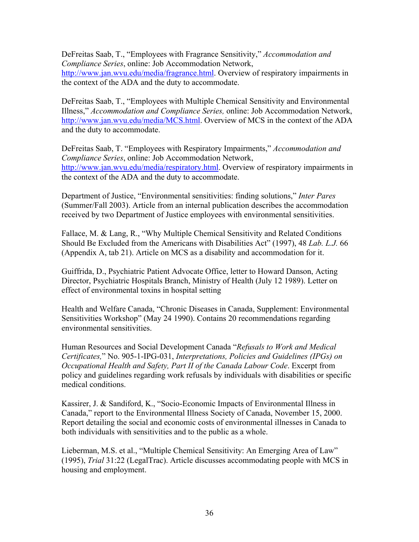DeFreitas Saab, T., "Employees with Fragrance Sensitivity," *Accommodation and Compliance Series*, online: Job Accommodation Network, [http://www.jan.wvu.edu/media/fragrance.html. O](http://www.jan.wvu.edu/media/fragrance.html)verview of respiratory impairments in the context of the ADA and the duty to accommodate.

DeFreitas Saab, T., "Employees with Multiple Chemical Sensitivity and Environmental Illness," *Accommodation and Compliance Series,* online: Job Accommodation Network, [http://www.jan.wvu.edu/media/MCS.html. O](http://www.jan.wvu.edu/media/MCS.html)verview of MCS in the context of the ADA and the duty to accommodate.

DeFreitas Saab, T. "Employees with Respiratory Impairments," *Accommodation and Compliance Series*, online: Job Accommodation Network, [http://www.jan.wvu.edu/media/respiratory.html.](http://www.jan.wvu.edu/media/respiratory.html) Overview of respiratory impairments in the context of the ADA and the duty to accommodate.

Department of Justice, "Environmental sensitivities: finding solutions," *Inter Pares* (Summer/Fall 2003). Article from an internal publication describes the accommodation received by two Department of Justice employees with environmental sensitivities.

Fallace, M. & Lang, R., "Why Multiple Chemical Sensitivity and Related Conditions Should Be Excluded from the Americans with Disabilities Act" (1997), 48 *Lab. L.J.* 66 (Appendix A, tab 21). Article on MCS as a disability and accommodation for it.

Guiffrida, D., Psychiatric Patient Advocate Office, letter to Howard Danson, Acting Director, Psychiatric Hospitals Branch, Ministry of Health (July 12 1989). Letter on effect of environmental toxins in hospital setting

Health and Welfare Canada, "Chronic Diseases in Canada, Supplement: Environmental Sensitivities Workshop" (May 24 1990). Contains 20 recommendations regarding environmental sensitivities.

Human Resources and Social Development Canada "*Refusals to Work and Medical Certificates,*" No. 905-1-IPG-031, *Interpretations, Policies and Guidelines (IPGs) on Occupational Health and Safety, Part II of the Canada Labour Code*. Excerpt from policy and guidelines regarding work refusals by individuals with disabilities or specific medical conditions.

Kassirer, J. & Sandiford, K., "Socio-Economic Impacts of Environmental Illness in Canada," report to the Environmental Illness Society of Canada, November 15, 2000. Report detailing the social and economic costs of environmental illnesses in Canada to both individuals with sensitivities and to the public as a whole.

Lieberman, M.S. et al., "Multiple Chemical Sensitivity: An Emerging Area of Law" (1995), *Trial* 31:22 (LegalTrac). Article discusses accommodating people with MCS in housing and employment.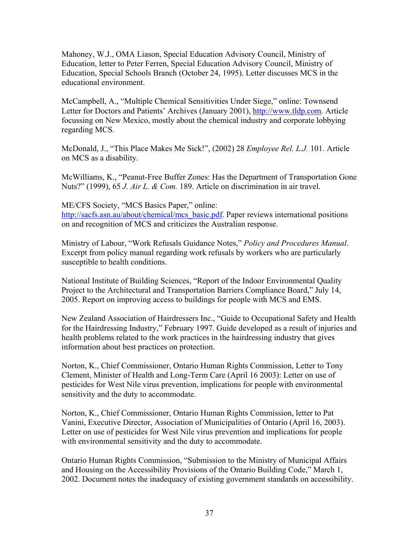Mahoney, W.J., OMA Liason, Special Education Advisory Council, Ministry of Education, letter to Peter Ferren, Special Education Advisory Council, Ministry of Education, Special Schools Branch (October 24, 1995). Letter discusses MCS in the educational environment.

McCampbell, A., "Multiple Chemical Sensitivities Under Siege," online: Townsend Letter for Doctors and Patients' Archives (January 2001), [http://www.tldp.com.](http://www.tldp.com) Article focussing on New Mexico, mostly about the chemical industry and corporate lobbying regarding MCS.

McDonald, J., "This Place Makes Me Sick!", (2002) 28 *Employee Rel. L.J.* 101. Article on MCS as a disability.

McWilliams, K., "Peanut-Free Buffer Zones: Has the Department of Transportation Gone Nuts?" (1999), 65 *J. Air L. & Com.* 189. Article on discrimination in air travel.

ME/CFS Society, "MCS Basics Paper," online: [http://sacfs.asn.au/about/chemical/mcs\\_basic.pdf. P](http://sacfs.asn.au/about/chemical/mcs_basic.pdf)aper reviews international positions on and recognition of MCS and criticizes the Australian response.

Ministry of Labour, "Work Refusals Guidance Notes," *Policy and Procedures Manual*. Excerpt from policy manual regarding work refusals by workers who are particularly susceptible to health conditions.

National Institute of Building Sciences, "Report of the Indoor Environmental Quality Project to the Architectural and Transportation Barriers Compliance Board," July 14, 2005. Report on improving access to buildings for people with MCS and EMS.

New Zealand Association of Hairdressers Inc., "Guide to Occupational Safety and Health for the Hairdressing Industry," February 1997. Guide developed as a result of injuries and health problems related to the work practices in the hairdressing industry that gives information about best practices on protection.

Norton, K., Chief Commissioner, Ontario Human Rights Commission, Letter to Tony Clement, Minister of Health and Long-Term Care (April 16 2003): Letter on use of pesticides for West Nile virus prevention, implications for people with environmental sensitivity and the duty to accommodate.

Norton, K., Chief Commissioner, Ontario Human Rights Commission, letter to Pat Vanini, Executive Director, Association of Municipalities of Ontario (April 16, 2003). Letter on use of pesticides for West Nile virus prevention and implications for people with environmental sensitivity and the duty to accommodate.

Ontario Human Rights Commission, "Submission to the Ministry of Municipal Affairs and Housing on the Accessibility Provisions of the Ontario Building Code," March 1, 2002. Document notes the inadequacy of existing government standards on accessibility.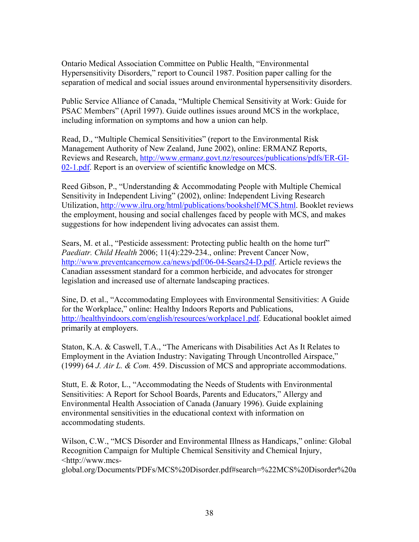Ontario Medical Association Committee on Public Health, "Environmental Hypersensitivity Disorders," report to Council 1987. Position paper calling for the separation of medical and social issues around environmental hypersensitivity disorders.

Public Service Alliance of Canada, "Multiple Chemical Sensitivity at Work: Guide for PSAC Members" (April 1997). Guide outlines issues around MCS in the workplace, including information on symptoms and how a union can help.

Read, D., "Multiple Chemical Sensitivities" (report to the Environmental Risk Management Authority of New Zealand, June 2002), online: ERMANZ Reports, [Reviews and Research, http://www.ermanz.govt.nz/resources/publications/pdfs/ER-GI-](http://www.ermanz.govt.nz/resources/publications/pdfs/ER-GI-02-1.pdf)02-1.pdf. Report is an overview of scientific knowledge on MCS.

Reed Gibson, P., "Understanding & Accommodating People with Multiple Chemical Sensitivity in Independent Living" (2002), online: Independent Living Research Utilization, [http://www.ilru.org/html/publications/bookshelf/MCS.html.](http://www.ilru.org/html/publications/bookshelf/MCS.html) Booklet reviews the employment, housing and social challenges faced by people with MCS, and makes suggestions for how independent living advocates can assist them.

Sears, M. et al., "Pesticide assessment: Protecting public health on the home turf" *Paediatr. Child Health* 2006; 11(4):229-234., online: Prevent Cancer Now, [http://www.preventcancernow.ca/news/pdf/06-04-Sears24-D.pdf. A](http://www.preventcancernow.ca/news/pdf/06-04-Sears24-D.pdf)rticle reviews the Canadian assessment standard for a common herbicide, and advocates for stronger legislation and increased use of alternate landscaping practices.

Sine, D. et al., "Accommodating Employees with Environmental Sensitivities: A Guide for the Workplace," online: Healthy Indoors Reports and Publications, [http://healthyindoors.com/english/resources/workplace1.pdf. E](http://healthyindoors.com/english/resources/workplace1.pdf)ducational booklet aimed primarily at employers.

Staton, K.A. & Caswell, T.A., "The Americans with Disabilities Act As It Relates to Employment in the Aviation Industry: Navigating Through Uncontrolled Airspace," (1999) 64 *J. Air L. & Com.* 459. Discussion of MCS and appropriate accommodations.

Stutt, E. & Rotor, L., "Accommodating the Needs of Students with Environmental Sensitivities: A Report for School Boards, Parents and Educators," Allergy and Environmental Health Association of Canada (January 1996). Guide explaining environmental sensitivities in the educational context with information on accommodating students.

Wilson, C.W., "MCS Disorder and Environmental Illness as Handicaps," online: Global Recognition Campaign for Multiple Chemical Sensitivity and Chemical Injury, <http://www.mcs-

[global.org/Documents/PDFs/MCS%20Disorder.pdf#search=%22MCS%20Disorder%20a](http://www.mcs-global.org/Documents/PDFs/MCS%20Disorder.pdf#search=%22MCS%20Disorder%20and%20Environmental%20Illness%20as%20Handicaps%22)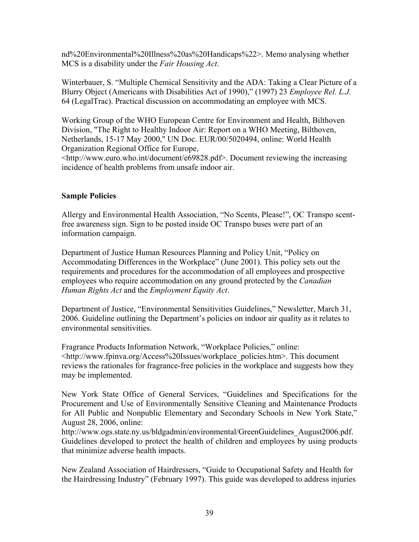nd%20Environmental%20Illness%20as%20Handicaps%22>. Memo analysing whether MCS is a disability under the *Fair Housing Act*.

Winterbauer, S. "Multiple Chemical Sensitivity and the ADA: Taking a Clear Picture of a Blurry Object (Americans with Disabilities Act of 1990)," (1997) 23 *Employee Rel. L.J.* 64 (LegalTrac). Practical discussion on accommodating an employee with MCS.

Working Group of the WHO European Centre for Environment and Health, Bilthoven Division, "The Right to Healthy Indoor Air: Report on a WHO Meeting, Bilthoven, Netherlands, 15-17 May 2000," UN Doc. EUR/00/5020494, online: World Health Organization Regional Office for Europe,

<[http://www.euro.who.int/document/e69828.pdf>.](http://www.euro.who.int/document/e69828.pdf) Document reviewing the increasing incidence of health problems from unsafe indoor air.

#### **Sample Policies**

Allergy and Environmental Health Association, "No Scents, Please!", OC Transpo scentfree awareness sign. Sign to be posted inside OC Transpo buses were part of an information campaign.

Department of Justice Human Resources Planning and Policy Unit, "Policy on Accommodating Differences in the Workplace" (June 2001). This policy sets out the requirements and procedures for the accommodation of all employees and prospective employees who require accommodation on any ground protected by the *Canadian Human Rights Act* and the *Employment Equity Act*.

Department of Justice, "Environmental Sensitivities Guidelines," Newsletter, March 31, 2006. Guideline outlining the Department's policies on indoor air quality as it relates to environmental sensitivities.

Fragrance Products Information Network, "Workplace Policies," online: <[http://www.fpinva.org/Access%20Issues/workplace\\_policies.htm>. T](http://www.fpinva.org/Access%20Issues/workplace_policies.htm)his document reviews the rationales for fragrance-free policies in the workplace and suggests how they may be implemented.

New York State Office of General Services, "Guidelines and Specifications for the Procurement and Use of Environmentally Sensitive Cleaning and Maintenance Products for All Public and Nonpublic Elementary and Secondary Schools in New York State," August 28, 2006, online:

[http://www.ogs.state.ny.us/bldgadmin/environmental/GreenGuidelines\\_August2006.pdf.](http://www.ogs.state.ny.us/bldgadmin/environmental/GreenGuidelines_August2006.pdf) Guidelines developed to protect the health of children and employees by using products that minimize adverse health impacts.

New Zealand Association of Hairdressers, "Guide to Occupational Safety and Health for the Hairdressing Industry" (February 1997). This guide was developed to address injuries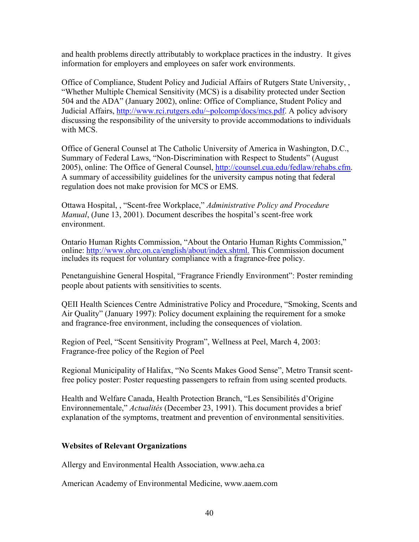and health problems directly attributably to workplace practices in the industry. It gives information for employers and employees on safer work environments.

Office of Compliance, Student Policy and Judicial Affairs of Rutgers State University, , "Whether Multiple Chemical Sensitivity (MCS) is a disability protected under Section 504 and the ADA" (January 2002), online: Office of Compliance, Student Policy and Judicial Affairs, [http://www.rci.rutgers.edu/~polcomp/docs/mcs.pdf.](http://www.rci.rutgers.edu/~polcomp/docs/mcs.pdf) A policy advisory discussing the responsibility of the university to provide accommodations to individuals with MCS

Office of General Counsel at The Catholic University of America in Washington, D.C., Summary of Federal Laws, "Non-Discrimination with Respect to Students" (August 2005), online: The Office of General Counsel, [http://counsel.cua.edu/fedlaw/rehabs.cfm.](http://counsel.cua.edu/fedlaw/rehabs.cfm) A summary of accessibility guidelines for the university campus noting that federal regulation does not make provision for MCS or EMS.

Ottawa Hospital, , "Scent-free Workplace," *Administrative Policy and Procedure Manual*, (June 13, 2001). Document describes the hospital's scent-free work environment.

Ontario Human Rights Commission, "About the Ontario Human Rights Commission," online: [http://www.ohrc.on.ca/english/about/index.shtml.](http://www.ohrc.on.ca/english/about/index.shtml) This Commission document includes its request for voluntary compliance with a fragrance-free policy.

Penetanguishine General Hospital, "Fragrance Friendly Environment": Poster reminding people about patients with sensitivities to scents.

QEII Health Sciences Centre Administrative Policy and Procedure, "Smoking, Scents and Air Quality" (January 1997): Policy document explaining the requirement for a smoke and fragrance-free environment, including the consequences of violation.

Region of Peel, "Scent Sensitivity Program", Wellness at Peel, March 4, 2003: Fragrance-free policy of the Region of Peel

Regional Municipality of Halifax, "No Scents Makes Good Sense", Metro Transit scentfree policy poster: Poster requesting passengers to refrain from using scented products.

Health and Welfare Canada, Health Protection Branch, "Les Sensibilités d'Origine Environnementale," *Actualités* (December 23, 1991). This document provides a brief explanation of the symptoms, treatment and prevention of environmental sensitivities.

# **Websites of Relevant Organizations**

Allergy and Environmental Health Association, [www.aeha.ca](http://www.aeha.ca)

American Academy of Environmental Medicine, [www.aaem.com](http://www.aaem.com)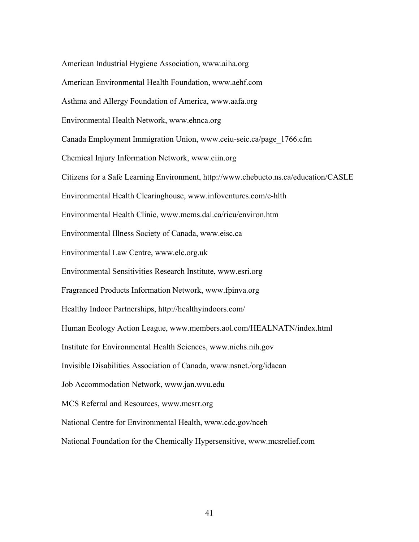American Industrial Hygiene Association, [www.aiha.org](http://www.aiha.org) American Environmental Health Foundation, [www.aehf.com](http://www.aehf.com) Asthma and Allergy Foundation of America, [www.aafa.org](http://www.aafa.org) Environmental Health Network, [www.ehnca.org](http://www.ehnca.org) Canada Employment Immigration Union, [www.ceiu-seic.ca/page\\_1766.cfm](http://www.ceiu-seic.ca/page_1766.cfm) Chemical Injury Information Network, [www.ciin.org](http://www.ciin.org) Citizens for a Safe Learning Environment, <http://www.chebucto.ns.ca/education/CASLE> Environmental Health Clearinghouse, [www.infoventures.com/e-hlth](http://www.infoventures.com/e-hlth) Environmental Health Clinic, [www.mcms.dal.ca/ricu/environ.htm](http://www.mcms.dal.ca/ricu/environ.htm) Environmental Illness Society of Canada, [www.eisc.ca](http://www.eisc.ca) Environmental Law Centre, [www.elc.org.uk](http://www.elc.org.uk) Environmental Sensitivities Research Institute, [www.esri.org](http://www.esri.org) Fragranced Products Information Network, [www.fpinva.org](http://www.fpinva.org) Healthy Indoor Partnerships,<http://healthyindoors.com/> Human Ecology Action League, [www.members.aol.com/HEALNATN/index.html](http://www.members.aol.com/HEALNATN/index.html) Institute for Environmental Health Sciences, [www.niehs.nih.gov](http://www.niehs.nih.gov) Invisible Disabilities Association of Canada, [www.nsnet./org/idacan](http://www.nsnet./org/idacan) Job Accommodation Network, [www.jan.wvu.edu](http://www.jan.wvu.edu) MCS Referral and Resources, [www.mcsrr.org](http://www.mcsrr.org) National Centre for Environmental Health, [www.cdc.gov/nceh](http://www.cdc.gov/nceh) National Foundation for the Chemically Hypersensitive, [www.mcsrelief.com](http://www.mcsrelief.com)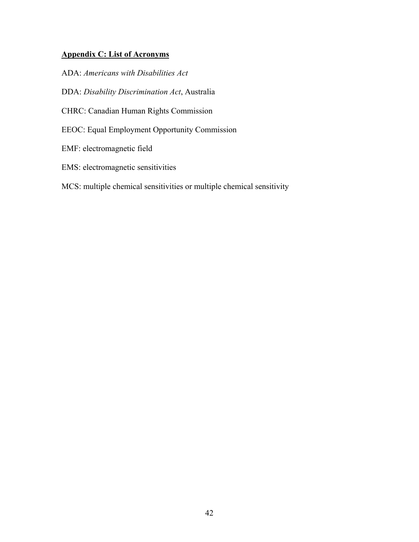# <span id="page-41-0"></span>**Appendix C: List of Acronyms**

ADA: *Americans with Disabilities Act*

DDA: *Disability Discrimination Act*, Australia

- CHRC: Canadian Human Rights Commission
- EEOC: Equal Employment Opportunity Commission
- EMF: electromagnetic field
- EMS: electromagnetic sensitivities
- MCS: multiple chemical sensitivities or multiple chemical sensitivity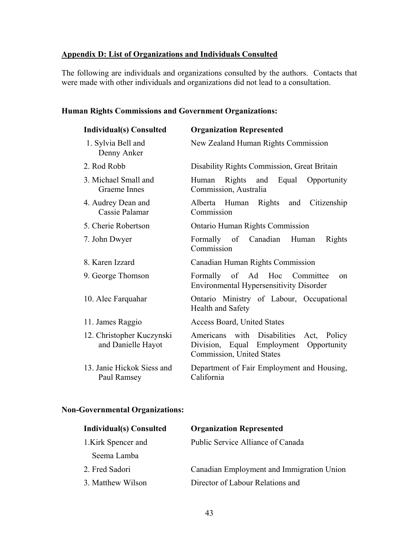# <span id="page-42-0"></span>**Appendix D: List of Organizations and Individuals Consulted**

The following are individuals and organizations consulted by the authors. Contacts that were made with other individuals and organizations did not lead to a consultation.

# **Human Rights Commissions and Government Organizations:**

| <b>Individual(s)</b> Consulted                  | <b>Organization Represented</b>                                                                                |
|-------------------------------------------------|----------------------------------------------------------------------------------------------------------------|
| 1. Sylvia Bell and<br>Denny Anker               | New Zealand Human Rights Commission                                                                            |
| 2. Rod Robb                                     | Disability Rights Commission, Great Britain                                                                    |
| 3. Michael Small and<br>Graeme Innes            | Human Rights and Equal<br>Opportunity<br>Commission, Australia                                                 |
| 4. Audrey Dean and<br>Cassie Palamar            | Alberta Human Rights and<br>Citizenship<br>Commission                                                          |
| 5. Cherie Robertson                             | <b>Ontario Human Rights Commission</b>                                                                         |
| 7. John Dwyer                                   | Formally of Canadian<br>Human<br>Rights<br>Commission                                                          |
| 8. Karen Izzard                                 | Canadian Human Rights Commission                                                                               |
| 9. George Thomson                               | Formally of Ad Hoc Committee<br>on<br><b>Environmental Hypersensitivity Disorder</b>                           |
| 10. Alec Farquahar                              | Ontario Ministry of Labour, Occupational<br><b>Health and Safety</b>                                           |
| 11. James Raggio                                | <b>Access Board, United States</b>                                                                             |
| 12. Christopher Kuczynski<br>and Danielle Hayot | Americans with Disabilities Act, Policy<br>Division, Equal Employment Opportunity<br>Commission, United States |
| 13. Janie Hickok Siess and<br>Paul Ramsey       | Department of Fair Employment and Housing,<br>California                                                       |

# **Non-Governmental Organizations:**

| <b>Individual(s)</b> Consulted | <b>Organization Represented</b>           |
|--------------------------------|-------------------------------------------|
| 1. Kirk Spencer and            | Public Service Alliance of Canada         |
| Seema Lamba                    |                                           |
| 2. Fred Sadori                 | Canadian Employment and Immigration Union |
| 3. Matthew Wilson              | Director of Labour Relations and          |